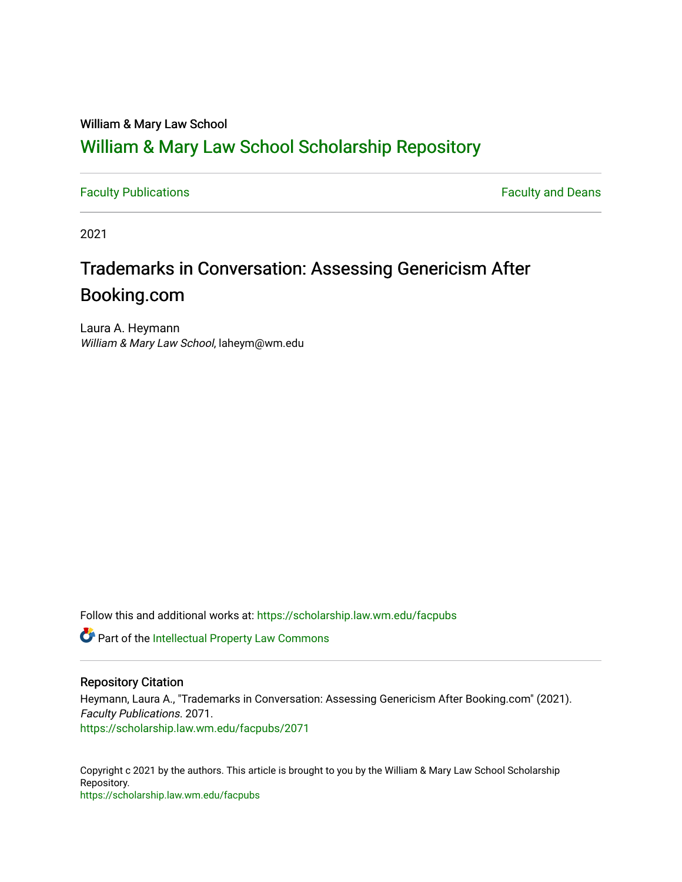### William & Mary Law School

## [William & Mary Law School Scholarship Repository](https://scholarship.law.wm.edu/)

[Faculty Publications](https://scholarship.law.wm.edu/facpubs) **Faculty Publications** 

2021

# Trademarks in Conversation: Assessing Genericism After Booking.com

Laura A. Heymann William & Mary Law School, laheym@wm.edu

Follow this and additional works at: [https://scholarship.law.wm.edu/facpubs](https://scholarship.law.wm.edu/facpubs?utm_source=scholarship.law.wm.edu%2Ffacpubs%2F2071&utm_medium=PDF&utm_campaign=PDFCoverPages)

Part of the [Intellectual Property Law Commons](https://network.bepress.com/hgg/discipline/896?utm_source=scholarship.law.wm.edu%2Ffacpubs%2F2071&utm_medium=PDF&utm_campaign=PDFCoverPages) 

#### Repository Citation

Heymann, Laura A., "Trademarks in Conversation: Assessing Genericism After Booking.com" (2021). Faculty Publications. 2071. [https://scholarship.law.wm.edu/facpubs/2071](https://scholarship.law.wm.edu/facpubs/2071?utm_source=scholarship.law.wm.edu%2Ffacpubs%2F2071&utm_medium=PDF&utm_campaign=PDFCoverPages) 

Copyright c 2021 by the authors. This article is brought to you by the William & Mary Law School Scholarship Repository. <https://scholarship.law.wm.edu/facpubs>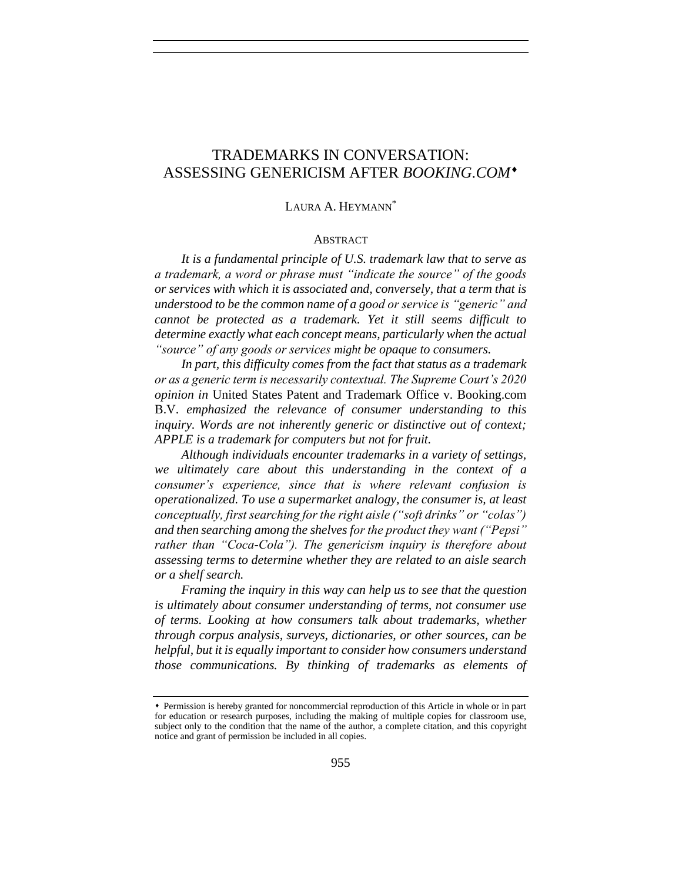## TRADEMARKS IN CONVERSATION: ASSESSING GENERICISM AFTER *BOOKING.COM*

#### LAURA A. HEYMANN<sup>\*</sup>

#### ABSTRACT

*It is a fundamental principle of U.S. trademark law that to serve as a trademark, a word or phrase must "indicate the source" of the goods or services with which it is associated and, conversely, that a term that is understood to be the common name of a good or service is "generic" and cannot be protected as a trademark. Yet it still seems difficult to determine exactly what each concept means, particularly when the actual "source" of any goods or services might be opaque to consumers.*

*In part, this difficulty comes from the fact that status as a trademark or as a generic term is necessarily contextual. The Supreme Court's 2020 opinion in* United States Patent and Trademark Office v. Booking.com B.V. *emphasized the relevance of consumer understanding to this inquiry. Words are not inherently generic or distinctive out of context; APPLE is a trademark for computers but not for fruit.*

*Although individuals encounter trademarks in a variety of settings, we ultimately care about this understanding in the context of a consumer's experience, since that is where relevant confusion is operationalized. To use a supermarket analogy, the consumer is, at least conceptually, first searching for the right aisle ("soft drinks" or "colas") and then searching among the shelves for the product they want ("Pepsi" rather than "Coca-Cola"). The genericism inquiry is therefore about assessing terms to determine whether they are related to an aisle search or a shelf search.*

*Framing the inquiry in this way can help us to see that the question is ultimately about consumer understanding of terms, not consumer use of terms. Looking at how consumers talk about trademarks, whether through corpus analysis, surveys, dictionaries, or other sources, can be helpful, but it is equally important to consider how consumers understand those communications. By thinking of trademarks as elements of* 

Permission is hereby granted for noncommercial reproduction of this Article in whole or in part for education or research purposes, including the making of multiple copies for classroom use, subject only to the condition that the name of the author, a complete citation, and this copyright notice and grant of permission be included in all copies.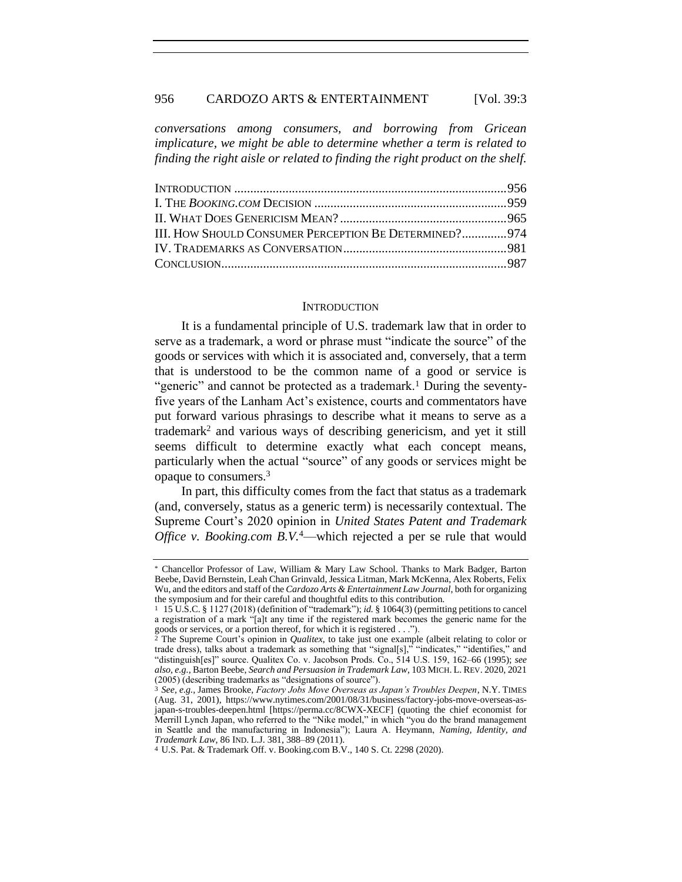#### 956 CARDOZO ARTS & ENTERTAINMENT [Vol. 39:3]

*conversations among consumers, and borrowing from Gricean implicature, we might be able to determine whether a term is related to finding the right aisle or related to finding the right product on the shelf.*

#### **INTRODUCTION**

It is a fundamental principle of U.S. trademark law that in order to serve as a trademark, a word or phrase must "indicate the source" of the goods or services with which it is associated and, conversely, that a term that is understood to be the common name of a good or service is "generic" and cannot be protected as a trademark.<sup>1</sup> During the seventyfive years of the Lanham Act's existence, courts and commentators have put forward various phrasings to describe what it means to serve as a trademark<sup>2</sup> and various ways of describing genericism, and yet it still seems difficult to determine exactly what each concept means, particularly when the actual "source" of any goods or services might be opaque to consumers.<sup>3</sup>

<span id="page-2-0"></span>In part, this difficulty comes from the fact that status as a trademark (and, conversely, status as a generic term) is necessarily contextual. The Supreme Court's 2020 opinion in *United States Patent and Trademark Office v. Booking.com B.V.*<sup>4</sup>—which rejected a per se rule that would

<sup>\*</sup> Chancellor Professor of Law, William & Mary Law School. Thanks to Mark Badger, Barton Beebe, David Bernstein, Leah Chan Grinvald, Jessica Litman, Mark McKenna, Alex Roberts, Felix Wu, and the editors and staff of the *Cardozo Arts & Entertainment Law Journal*, both for organizing the symposium and for their careful and thoughtful edits to this contribution.

<sup>1</sup> 15 U.S.C. § 1127 (2018) (definition of "trademark"); *id.* § 1064(3) (permitting petitions to cancel a registration of a mark "[a]t any time if the registered mark becomes the generic name for the goods or services, or a portion thereof, for which it is registered . . .").

<sup>2</sup> The Supreme Court's opinion in *Qualitex*, to take just one example (albeit relating to color or trade dress), talks about a trademark as something that "signal[s]," "indicates," "identifies," and "distinguish[es]" source. Qualitex Co. v. Jacobson Prods. Co., 514 U.S. 159, 162–66 (1995); *see also, e.g.*, Barton Beebe, *Search and Persuasion in Trademark Law*, 103 MICH. L. REV. 2020, 2021 (2005) (describing trademarks as "designations of source").

<sup>3</sup> *See, e.g.*, James Brooke, *Factory Jobs Move Overseas as Japan's Troubles Deepen*, N.Y. TIMES (Aug. 31, 2001), https://www.nytimes.com/2001/08/31/business/factory-jobs-move-overseas-asjapan-s-troubles-deepen.html [https://perma.cc/8CWX-XECF] (quoting the chief economist for Merrill Lynch Japan, who referred to the "Nike model," in which "you do the brand management in Seattle and the manufacturing in Indonesia"); Laura A. Heymann, *Naming, Identity, and Trademark Law*, 86 IND. L.J. 381, 388–89 (2011).

<sup>4</sup> U.S. Pat. & Trademark Off. v. Booking.com B.V., 140 S. Ct. 2298 (2020).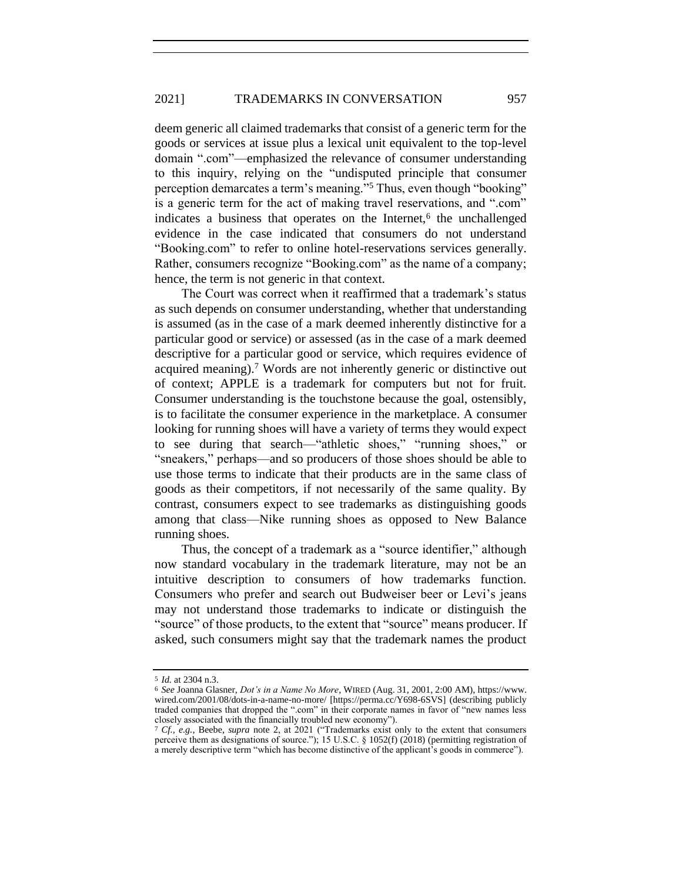#### 2021] TRADEMARKS IN CONVERSATION 957

deem generic all claimed trademarks that consist of a generic term for the goods or services at issue plus a lexical unit equivalent to the top-level domain ".com"—emphasized the relevance of consumer understanding to this inquiry, relying on the "undisputed principle that consumer perception demarcates a term's meaning."<sup>5</sup> Thus, even though "booking" is a generic term for the act of making travel reservations, and ".com" indicates a business that operates on the Internet,<sup>6</sup> the unchallenged evidence in the case indicated that consumers do not understand "Booking.com" to refer to online hotel-reservations services generally. Rather, consumers recognize "Booking.com" as the name of a company; hence, the term is not generic in that context.

The Court was correct when it reaffirmed that a trademark's status as such depends on consumer understanding, whether that understanding is assumed (as in the case of a mark deemed inherently distinctive for a particular good or service) or assessed (as in the case of a mark deemed descriptive for a particular good or service, which requires evidence of acquired meaning).<sup>7</sup> Words are not inherently generic or distinctive out of context; APPLE is a trademark for computers but not for fruit. Consumer understanding is the touchstone because the goal, ostensibly, is to facilitate the consumer experience in the marketplace. A consumer looking for running shoes will have a variety of terms they would expect to see during that search—"athletic shoes," "running shoes," or "sneakers," perhaps—and so producers of those shoes should be able to use those terms to indicate that their products are in the same class of goods as their competitors, if not necessarily of the same quality. By contrast, consumers expect to see trademarks as distinguishing goods among that class—Nike running shoes as opposed to New Balance running shoes.

Thus, the concept of a trademark as a "source identifier," although now standard vocabulary in the trademark literature, may not be an intuitive description to consumers of how trademarks function. Consumers who prefer and search out Budweiser beer or Levi's jeans may not understand those trademarks to indicate or distinguish the "source" of those products, to the extent that "source" means producer. If asked, such consumers might say that the trademark names the product

<sup>5</sup> *Id.* at 2304 n.3.

<sup>6</sup> *See* Joanna Glasner, *Dot's in a Name No More*, WIRED (Aug. 31, 2001, 2:00 AM), https://www. wired.com/2001/08/dots-in-a-name-no-more/ [https://perma.cc/Y698-6SVS] (describing publicly traded companies that dropped the ".com" in their corporate names in favor of "new names less closely associated with the financially troubled new economy").

<sup>7</sup> *Cf., e.g.*, Beebe, *supra* note [2,](#page-2-0) at 2021 ("Trademarks exist only to the extent that consumers perceive them as designations of source."); 15 U.S.C. § 1052(f) (2018) (permitting registration of a merely descriptive term "which has become distinctive of the applicant's goods in commerce").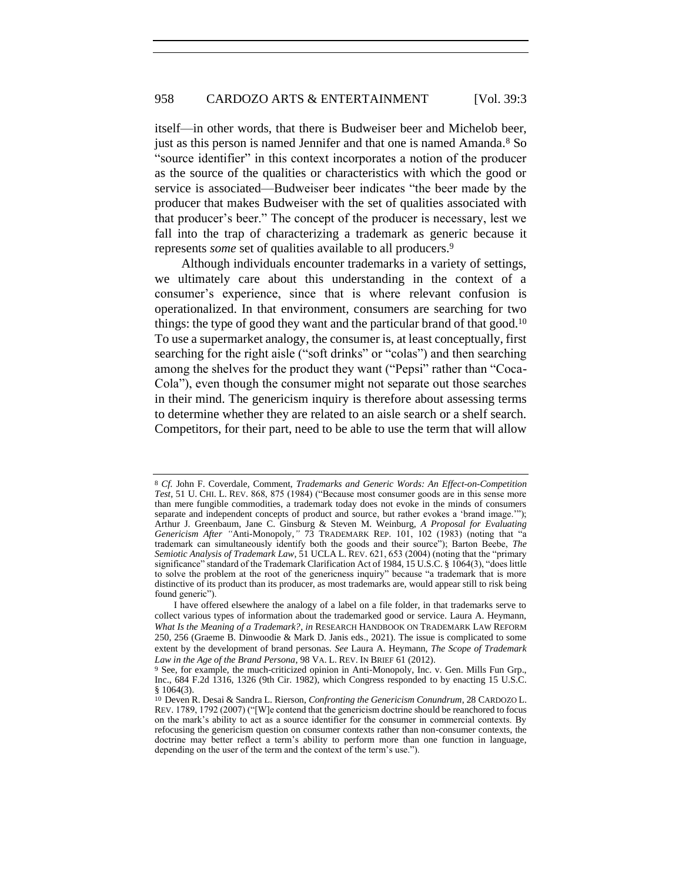<span id="page-4-0"></span>itself—in other words, that there is Budweiser beer and Michelob beer, just as this person is named Jennifer and that one is named Amanda.<sup>8</sup> So "source identifier" in this context incorporates a notion of the producer as the source of the qualities or characteristics with which the good or service is associated—Budweiser beer indicates "the beer made by the producer that makes Budweiser with the set of qualities associated with that producer's beer." The concept of the producer is necessary, lest we fall into the trap of characterizing a trademark as generic because it represents *some* set of qualities available to all producers.<sup>9</sup>

<span id="page-4-1"></span>Although individuals encounter trademarks in a variety of settings, we ultimately care about this understanding in the context of a consumer's experience, since that is where relevant confusion is operationalized. In that environment, consumers are searching for two things: the type of good they want and the particular brand of that good.<sup>10</sup> To use a supermarket analogy, the consumer is, at least conceptually, first searching for the right aisle ("soft drinks" or "colas") and then searching among the shelves for the product they want ("Pepsi" rather than "Coca-Cola"), even though the consumer might not separate out those searches in their mind. The genericism inquiry is therefore about assessing terms to determine whether they are related to an aisle search or a shelf search. Competitors, for their part, need to be able to use the term that will allow

<sup>8</sup> *Cf.* John F. Coverdale, Comment, *Trademarks and Generic Words: An Effect-on-Competition Test*, 51 U. CHI. L. REV. 868, 875 (1984) ("Because most consumer goods are in this sense more than mere fungible commodities, a trademark today does not evoke in the minds of consumers separate and independent concepts of product and source, but rather evokes a 'brand image.'"); Arthur J. Greenbaum, Jane C. Ginsburg & Steven M. Weinburg, *A Proposal for Evaluating Genericism After "*Anti-Monopoly,*"* 73 TRADEMARK REP. 101, 102 (1983) (noting that "a trademark can simultaneously identify both the goods and their source"); Barton Beebe, *The Semiotic Analysis of Trademark Law*, 51 UCLA L. REV. 621, 653 (2004) (noting that the "primary significance" standard of the Trademark Clarification Act of 1984, 15 U.S.C. § 1064(3), "does little to solve the problem at the root of the genericness inquiry" because "a trademark that is more distinctive of its product than its producer, as most trademarks are, would appear still to risk being found generic").

I have offered elsewhere the analogy of a label on a file folder, in that trademarks serve to collect various types of information about the trademarked good or service. Laura A. Heymann, *What Is the Meaning of a Trademark?*, *in* RESEARCH HANDBOOK ON TRADEMARK LAW REFORM 250, 256 (Graeme B. Dinwoodie & Mark D. Janis eds., 2021). The issue is complicated to some extent by the development of brand personas. *See* Laura A. Heymann, *The Scope of Trademark Law in the Age of the Brand Persona*, 98 VA. L. REV. IN BRIEF 61 (2012).

<sup>9</sup> See, for example, the much-criticized opinion in Anti-Monopoly, Inc. v. Gen. Mills Fun Grp., Inc., 684 F.2d 1316, 1326 (9th Cir. 1982), which Congress responded to by enacting 15 U.S.C. § 1064(3).

<sup>10</sup> Deven R. Desai & Sandra L. Rierson, *Confronting the Genericism Conundrum*, 28 CARDOZO L. REV. 1789, 1792 (2007) ("[W]e contend that the genericism doctrine should be reanchored to focus on the mark's ability to act as a source identifier for the consumer in commercial contexts. By refocusing the genericism question on consumer contexts rather than non-consumer contexts, the doctrine may better reflect a term's ability to perform more than one function in language, depending on the user of the term and the context of the term's use.").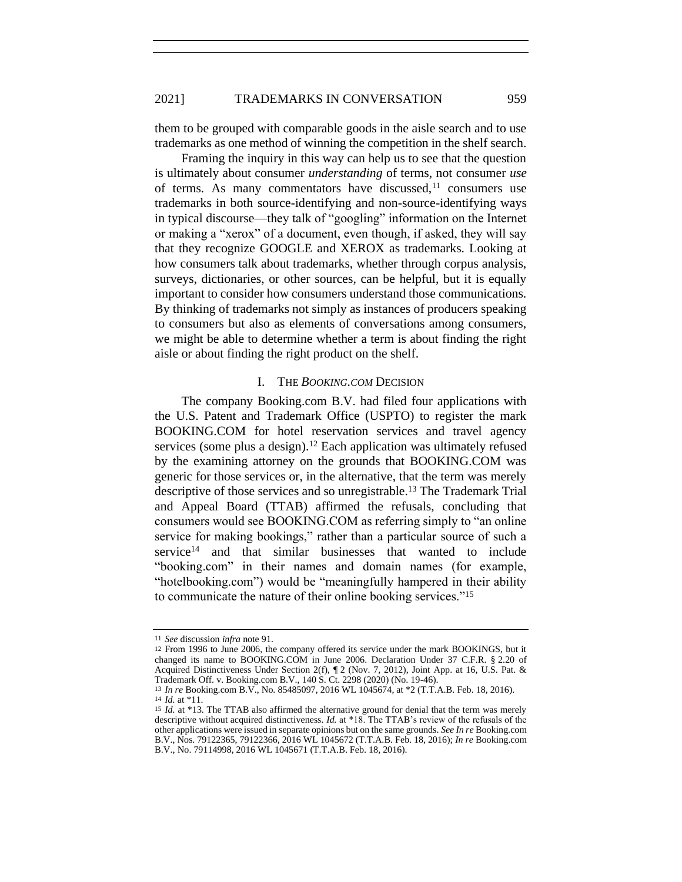them to be grouped with comparable goods in the aisle search and to use trademarks as one method of winning the competition in the shelf search.

Framing the inquiry in this way can help us to see that the question is ultimately about consumer *understanding* of terms, not consumer *use* of terms. As many commentators have discussed, $11$  consumers use trademarks in both source-identifying and non-source-identifying ways in typical discourse—they talk of "googling" information on the Internet or making a "xerox" of a document, even though, if asked, they will say that they recognize GOOGLE and XEROX as trademarks. Looking at how consumers talk about trademarks, whether through corpus analysis, surveys, dictionaries, or other sources, can be helpful, but it is equally important to consider how consumers understand those communications. By thinking of trademarks not simply as instances of producers speaking to consumers but also as elements of conversations among consumers, we might be able to determine whether a term is about finding the right aisle or about finding the right product on the shelf.

#### I. THE *BOOKING.COM* DECISION

The company Booking.com B.V. had filed four applications with the U.S. Patent and Trademark Office (USPTO) to register the mark BOOKING.COM for hotel reservation services and travel agency services (some plus a design).<sup>12</sup> Each application was ultimately refused by the examining attorney on the grounds that BOOKING.COM was generic for those services or, in the alternative, that the term was merely descriptive of those services and so unregistrable.<sup>13</sup> The Trademark Trial and Appeal Board (TTAB) affirmed the refusals, concluding that consumers would see BOOKING.COM as referring simply to "an online service for making bookings," rather than a particular source of such a service $14$  and that similar businesses that wanted to include "booking.com" in their names and domain names (for example, "hotelbooking.com") would be "meaningfully hampered in their ability to communicate the nature of their online booking services."<sup>15</sup>

<sup>11</sup> *See* discussion *infra* note [91.](#page-21-0)

<sup>12</sup> From 1996 to June 2006, the company offered its service under the mark BOOKINGS, but it changed its name to BOOKING.COM in June 2006. Declaration Under 37 C.F.R. § 2.20 of Acquired Distinctiveness Under Section 2(f), ¶ 2 (Nov. 7, 2012), Joint App. at 16, U.S. Pat. & Trademark Off. v. Booking.com B.V., 140 S. Ct. 2298 (2020) (No. 19-46).

<sup>13</sup> *In re* Booking.com B.V., No. 85485097, 2016 WL 1045674, at \*2 (T.T.A.B. Feb. 18, 2016). 14 *Id.* at \*11.

<sup>15</sup> *Id.* at \*13. The TTAB also affirmed the alternative ground for denial that the term was merely descriptive without acquired distinctiveness. *Id.* at \*18. The TTAB's review of the refusals of the other applications were issued in separate opinions but on the same grounds. *See In re* Booking.com B.V., Nos. 79122365, 79122366, 2016 WL 1045672 (T.T.A.B. Feb. 18, 2016); *In re* Booking.com B.V., No. 79114998, 2016 WL 1045671 (T.T.A.B. Feb. 18, 2016).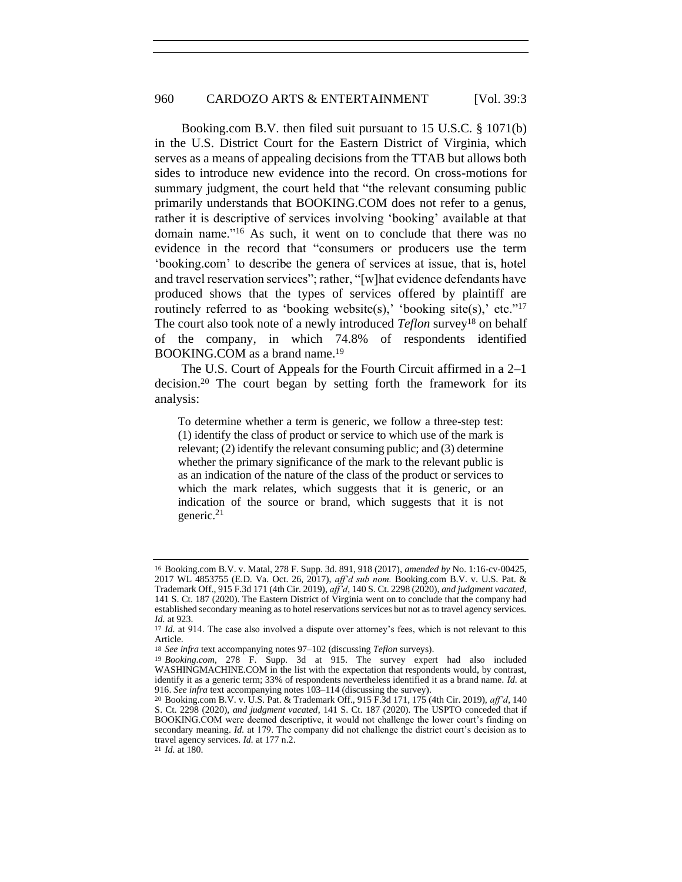Booking.com B.V. then filed suit pursuant to 15 U.S.C. § 1071(b) in the U.S. District Court for the Eastern District of Virginia, which serves as a means of appealing decisions from the TTAB but allows both sides to introduce new evidence into the record. On cross-motions for summary judgment, the court held that "the relevant consuming public primarily understands that BOOKING.COM does not refer to a genus, rather it is descriptive of services involving 'booking' available at that domain name."<sup>16</sup> As such, it went on to conclude that there was no evidence in the record that "consumers or producers use the term 'booking.com' to describe the genera of services at issue, that is, hotel and travel reservation services"; rather, "[w]hat evidence defendants have produced shows that the types of services offered by plaintiff are routinely referred to as 'booking website(s),' 'booking site(s),' etc."<sup>17</sup> The court also took note of a newly introduced *Teflon* survey<sup>18</sup> on behalf of the company, in which 74.8% of respondents identified BOOKING.COM as a brand name.<sup>19</sup>

The U.S. Court of Appeals for the Fourth Circuit affirmed in a 2–1 decision.<sup>20</sup> The court began by setting forth the framework for its analysis:

To determine whether a term is generic, we follow a three-step test: (1) identify the class of product or service to which use of the mark is relevant; (2) identify the relevant consuming public; and (3) determine whether the primary significance of the mark to the relevant public is as an indication of the nature of the class of the product or services to which the mark relates, which suggests that it is generic, or an indication of the source or brand, which suggests that it is not generic.<sup>21</sup>

<sup>16</sup> Booking.com B.V. v. Matal, 278 F. Supp. 3d. 891, 918 (2017), *amended by* No. 1:16-cv-00425, 2017 WL 4853755 (E.D. Va. Oct. 26, 2017), *aff'd sub nom.* Booking.com B.V. v. U.S. Pat. & Trademark Off., 915 F.3d 171 (4th Cir. 2019), *aff'd*, 140 S. Ct. 2298 (2020), *and judgment vacated*, 141 S. Ct. 187 (2020). The Eastern District of Virginia went on to conclude that the company had established secondary meaning as to hotel reservations services but not as to travel agency services. *Id.* at 923.

<sup>17</sup> *Id.* at 914. The case also involved a dispute over attorney's fees, which is not relevant to this Article.

<sup>18</sup> *See infra* text accompanying note[s 97–](#page-23-0)[102](#page-24-0) (discussing *Teflon* surveys).

<sup>19</sup> *Booking.com*, 278 F. Supp. 3d at 915. The survey expert had also included WASHINGMACHINE.COM in the list with the expectation that respondents would, by contrast, identify it as a generic term; 33% of respondents nevertheless identified it as a brand name. *Id.* at 916. *See infra* text accompanying note[s 103](#page-24-1)[–114](#page-26-0) (discussing the survey).

<sup>20</sup> Booking.com B.V. v. U.S. Pat. & Trademark Off., 915 F.3d 171, 175 (4th Cir. 2019), *aff'd*, 140 S. Ct. 2298 (2020), *and judgment vacated*, 141 S. Ct. 187 (2020). The USPTO conceded that if BOOKING.COM were deemed descriptive, it would not challenge the lower court's finding on secondary meaning. *Id.* at 179. The company did not challenge the district court's decision as to travel agency services. *Id.* at 177 n.2.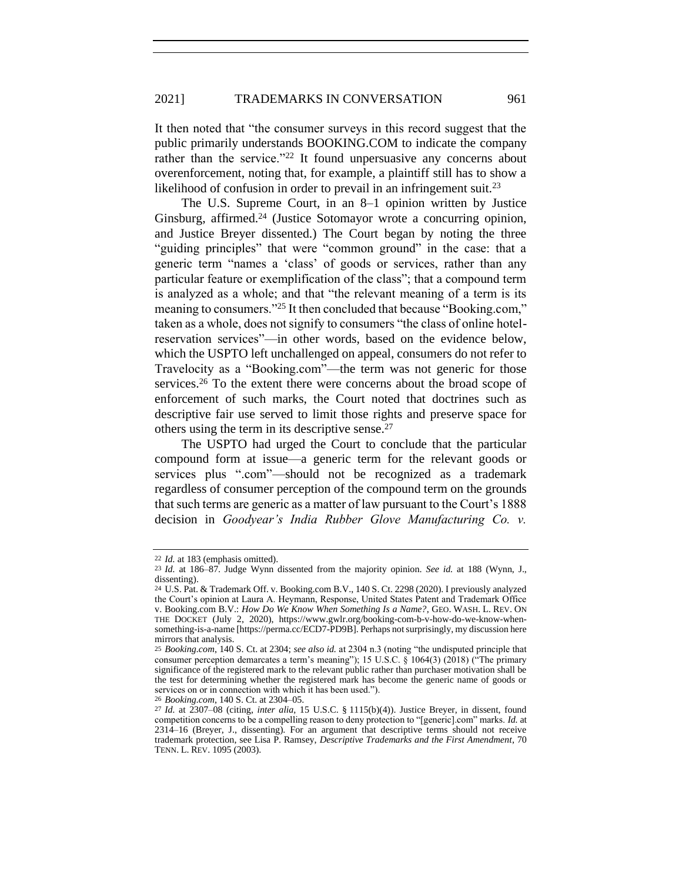#### 2021] TRADEMARKS IN CONVERSATION 961

It then noted that "the consumer surveys in this record suggest that the public primarily understands BOOKING.COM to indicate the company rather than the service."<sup>22</sup> It found unpersuasive any concerns about overenforcement, noting that, for example, a plaintiff still has to show a likelihood of confusion in order to prevail in an infringement suit.<sup>23</sup>

The U.S. Supreme Court, in an 8–1 opinion written by Justice Ginsburg, affirmed.<sup>24</sup> (Justice Sotomayor wrote a concurring opinion, and Justice Breyer dissented.) The Court began by noting the three "guiding principles" that were "common ground" in the case: that a generic term "names a 'class' of goods or services, rather than any particular feature or exemplification of the class"; that a compound term is analyzed as a whole; and that "the relevant meaning of a term is its meaning to consumers."<sup>25</sup> It then concluded that because "Booking.com," taken as a whole, does not signify to consumers "the class of online hotelreservation services"—in other words, based on the evidence below, which the USPTO left unchallenged on appeal, consumers do not refer to Travelocity as a "Booking.com"—the term was not generic for those services.<sup>26</sup> To the extent there were concerns about the broad scope of enforcement of such marks, the Court noted that doctrines such as descriptive fair use served to limit those rights and preserve space for others using the term in its descriptive sense.<sup>27</sup>

The USPTO had urged the Court to conclude that the particular compound form at issue—a generic term for the relevant goods or services plus ".com"—should not be recognized as a trademark regardless of consumer perception of the compound term on the grounds that such terms are generic as a matter of law pursuant to the Court's 1888 decision in *Goodyear's India Rubber Glove Manufacturing Co. v.* 

26 *Booking.com*, 140 S. Ct. at 2304–05.

<sup>22</sup> *Id.* at 183 (emphasis omitted).

<sup>23</sup> *Id.* at 186–87. Judge Wynn dissented from the majority opinion. *See id.* at 188 (Wynn, J., dissenting).

<sup>24</sup> U.S. Pat. & Trademark Off. v. Booking.com B.V., 140 S. Ct. 2298 (2020). I previously analyzed the Court's opinion at Laura A. Heymann, Response, United States Patent and Trademark Office v. Booking.com B.V.: *How Do We Know When Something Is a Name?*, GEO. WASH. L. REV. ON THE DOCKET (July 2, 2020), https://www.gwlr.org/booking-com-b-v-how-do-we-know-whensomething-is-a-name [https://perma.cc/ECD7-PD9B]. Perhaps not surprisingly, my discussion here mirrors that analysis.

<sup>25</sup> *Booking.com*, 140 S. Ct. at 2304; *see also id.* at 2304 n.3 (noting "the undisputed principle that consumer perception demarcates a term's meaning"); 15 U.S.C. § 1064(3) (2018) ("The primary significance of the registered mark to the relevant public rather than purchaser motivation shall be the test for determining whether the registered mark has become the generic name of goods or services on or in connection with which it has been used.").

<sup>27</sup> *Id.* at 2307–08 (citing, *inter alia*, 15 U.S.C. § 1115(b)(4)). Justice Breyer, in dissent, found competition concerns to be a compelling reason to deny protection to "[generic].com" marks. *Id.* at 2314–16 (Breyer, J., dissenting). For an argument that descriptive terms should not receive trademark protection, see Lisa P. Ramsey, *Descriptive Trademarks and the First Amendment*, 70 TENN. L. REV. 1095 (2003).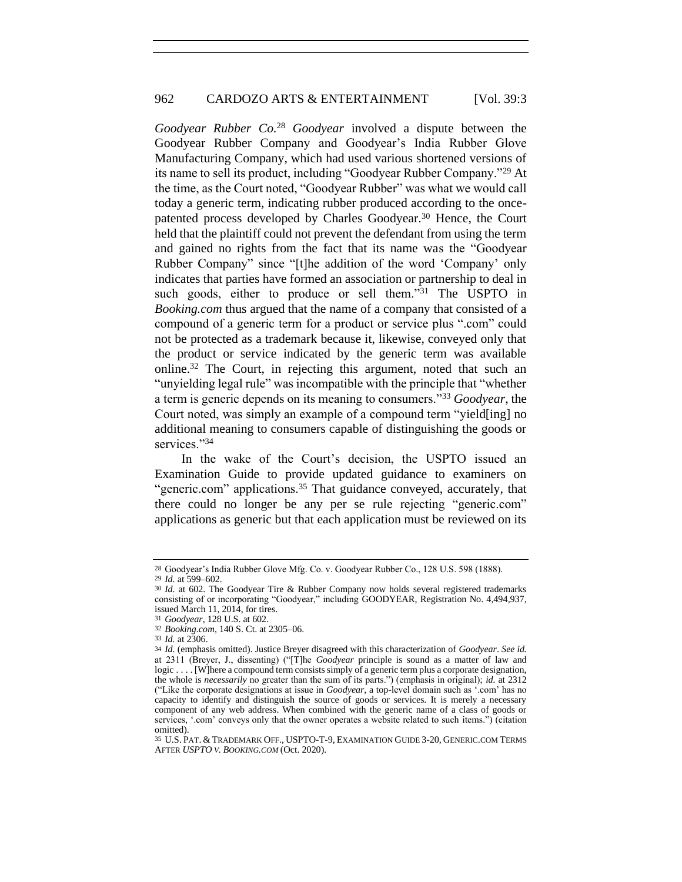*Goodyear Rubber Co.*<sup>28</sup> *Goodyear* involved a dispute between the Goodyear Rubber Company and Goodyear's India Rubber Glove Manufacturing Company, which had used various shortened versions of its name to sell its product, including "Goodyear Rubber Company."<sup>29</sup> At the time, as the Court noted, "Goodyear Rubber" was what we would call today a generic term, indicating rubber produced according to the oncepatented process developed by Charles Goodyear.<sup>30</sup> Hence, the Court held that the plaintiff could not prevent the defendant from using the term and gained no rights from the fact that its name was the "Goodyear Rubber Company" since "[t]he addition of the word 'Company' only indicates that parties have formed an association or partnership to deal in such goods, either to produce or sell them."<sup>31</sup> The USPTO in *Booking.com* thus argued that the name of a company that consisted of a compound of a generic term for a product or service plus ".com" could not be protected as a trademark because it, likewise, conveyed only that the product or service indicated by the generic term was available online.<sup>32</sup> The Court, in rejecting this argument, noted that such an "unyielding legal rule" was incompatible with the principle that "whether a term is generic depends on its meaning to consumers."<sup>33</sup> *Goodyear*, the Court noted, was simply an example of a compound term "yield[ing] no additional meaning to consumers capable of distinguishing the goods or services."34

<span id="page-8-0"></span>In the wake of the Court's decision, the USPTO issued an Examination Guide to provide updated guidance to examiners on "generic.com" applications.<sup>35</sup> That guidance conveyed, accurately, that there could no longer be any per se rule rejecting "generic.com" applications as generic but that each application must be reviewed on its

<sup>28</sup> Goodyear's India Rubber Glove Mfg. Co. v. Goodyear Rubber Co., 128 U.S. 598 (1888).

<sup>29</sup> *Id.* at 599–602.

<sup>30</sup> *Id.* at 602. The Goodyear Tire & Rubber Company now holds several registered trademarks consisting of or incorporating "Goodyear," including GOODYEAR, Registration No. 4,494,937, issued March 11, 2014, for tires.

<sup>31</sup> *Goodyear*, 128 U.S. at 602.

<sup>32</sup> *Booking.com*, 140 S. Ct. at 2305–06.

<sup>33</sup> *Id.* at 2306.

<sup>34</sup> *Id.* (emphasis omitted). Justice Breyer disagreed with this characterization of *Goodyear*. *See id.* at 2311 (Breyer, J., dissenting) ("[T]he *Goodyear* principle is sound as a matter of law and logic . . . . [W]here a compound term consists simply of a generic term plus a corporate designation, the whole is *necessarily* no greater than the sum of its parts.") (emphasis in original); *id.* at 2312 ("Like the corporate designations at issue in *Goodyear*, a top-level domain such as '.com' has no capacity to identify and distinguish the source of goods or services. It is merely a necessary component of any web address. When combined with the generic name of a class of goods or services, '.com' conveys only that the owner operates a website related to such items.") (citation omitted).

<sup>35</sup> U.S. PAT. & TRADEMARK OFF., USPTO-T-9, EXAMINATION GUIDE 3-20, GENERIC.COM TERMS AFTER *USPTO V. BOOKING.COM* (Oct. 2020).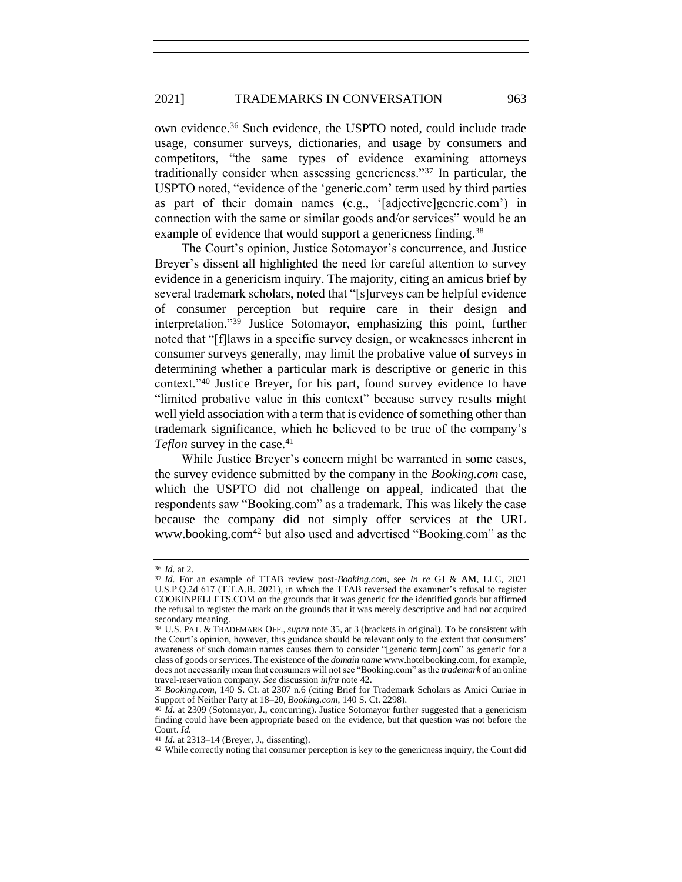#### 2021] TRADEMARKS IN CONVERSATION 963

own evidence.<sup>36</sup> Such evidence, the USPTO noted, could include trade usage, consumer surveys, dictionaries, and usage by consumers and competitors, "the same types of evidence examining attorneys traditionally consider when assessing genericness."<sup>37</sup> In particular, the USPTO noted, "evidence of the 'generic.com' term used by third parties as part of their domain names (e.g., '[adjective]generic.com') in connection with the same or similar goods and/or services" would be an example of evidence that would support a genericness finding.<sup>38</sup>

The Court's opinion, Justice Sotomayor's concurrence, and Justice Breyer's dissent all highlighted the need for careful attention to survey evidence in a genericism inquiry. The majority, citing an amicus brief by several trademark scholars, noted that "[s]urveys can be helpful evidence of consumer perception but require care in their design and interpretation."<sup>39</sup> Justice Sotomayor, emphasizing this point, further noted that "[f]laws in a specific survey design, or weaknesses inherent in consumer surveys generally, may limit the probative value of surveys in determining whether a particular mark is descriptive or generic in this context."<sup>40</sup> Justice Breyer, for his part, found survey evidence to have "limited probative value in this context" because survey results might well yield association with a term that is evidence of something other than trademark significance, which he believed to be true of the company's *Teflon* survey in the case.<sup>41</sup>

While Justice Breyer's concern might be warranted in some cases, the survey evidence submitted by the company in the *Booking.com* case, which the USPTO did not challenge on appeal, indicated that the respondents saw "Booking.com" as a trademark. This was likely the case because the company did not simply offer services at the URL www.booking.com<sup>42</sup> but also used and advertised "Booking.com" as the

<span id="page-9-0"></span><sup>36</sup> *Id.* at 2.

<sup>37</sup> *Id.* For an example of TTAB review post-*Booking.com*, see *In re* GJ & AM, LLC, 2021 U.S.P.Q.2d 617 (T.T.A.B. 2021), in which the TTAB reversed the examiner's refusal to register COOKINPELLETS.COM on the grounds that it was generic for the identified goods but affirmed the refusal to register the mark on the grounds that it was merely descriptive and had not acquired secondary meaning.

<sup>38</sup> U.S. PAT. & TRADEMARK OFF., *supra* not[e 35,](#page-8-0) at 3 (brackets in original). To be consistent with the Court's opinion, however, this guidance should be relevant only to the extent that consumers' awareness of such domain names causes them to consider "[generic term].com" as generic for a class of goods or services. The existence of the *domain name* www.hotelbooking.com, for example, does not necessarily mean that consumers will not see "Booking.com" as the *trademark* of an online travel-reservation company. *See* discussion *infra* note [42.](#page-9-0)

<sup>39</sup> *Booking.com*, 140 S. Ct. at 2307 n.6 (citing Brief for Trademark Scholars as Amici Curiae in Support of Neither Party at 18–20, *Booking.com*, 140 S. Ct. 2298).

<sup>40</sup> *Id.* at 2309 (Sotomayor, J., concurring). Justice Sotomayor further suggested that a genericism finding could have been appropriate based on the evidence, but that question was not before the Court. *Id.*

<sup>41</sup> *Id.* at 2313–14 (Breyer, J., dissenting).

<sup>42</sup> While correctly noting that consumer perception is key to the genericness inquiry, the Court did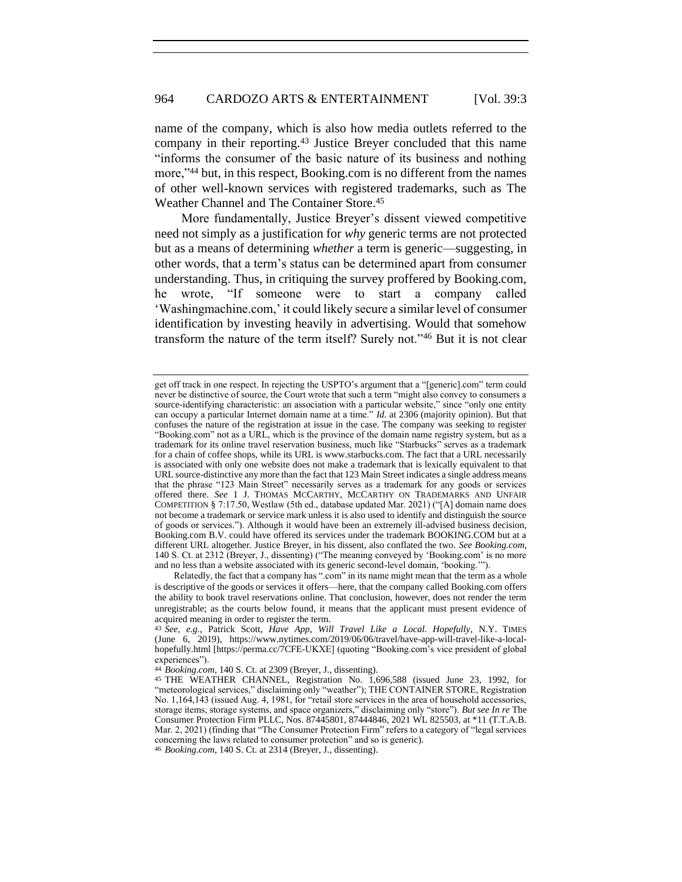name of the company, which is also how media outlets referred to the company in their reporting.<sup>43</sup> Justice Breyer concluded that this name "informs the consumer of the basic nature of its business and nothing more,"<sup>44</sup> but, in this respect, Booking.com is no different from the names of other well-known services with registered trademarks, such as The Weather Channel and The Container Store.<sup>45</sup>

More fundamentally, Justice Breyer's dissent viewed competitive need not simply as a justification for *why* generic terms are not protected but as a means of determining *whether* a term is generic—suggesting, in other words, that a term's status can be determined apart from consumer understanding. Thus, in critiquing the survey proffered by Booking.com, he wrote, "If someone were to start a company called 'Washingmachine.com,' it could likely secure a similar level of consumer identification by investing heavily in advertising. Would that somehow transform the nature of the term itself? Surely not."<sup>46</sup> But it is not clear

get off track in one respect. In rejecting the USPTO's argument that a "[generic].com" term could never be distinctive of source, the Court wrote that such a term "might also convey to consumers a source-identifying characteristic: an association with a particular website," since "only one entity can occupy a particular Internet domain name at a time." *Id.* at 2306 (majority opinion). But that confuses the nature of the registration at issue in the case. The company was seeking to register "Booking.com" not as a URL, which is the province of the domain name registry system, but as a trademark for its online travel reservation business, much like "Starbucks" serves as a trademark for a chain of coffee shops, while its URL is www.starbucks.com. The fact that a URL necessarily is associated with only one website does not make a trademark that is lexically equivalent to that URL source-distinctive any more than the fact that 123 Main Street indicates a single address means that the phrase "123 Main Street" necessarily serves as a trademark for any goods or services offered there. *See* 1 J. THOMAS MCCARTHY, MCCARTHY ON TRADEMARKS AND UNFAIR COMPETITION § 7:17.50, Westlaw (5th ed., database updated Mar. 2021) ("[A] domain name does not become a trademark or service mark unless it is also used to identify and distinguish the source of goods or services."). Although it would have been an extremely ill-advised business decision, Booking.com B.V. could have offered its services under the trademark BOOKING.COM but at a different URL altogether. Justice Breyer, in his dissent, also conflated the two. *See Booking.com*, 140 S. Ct. at 2312 (Breyer, J., dissenting) ("The meaning conveyed by 'Booking.com' is no more and no less than a website associated with its generic second-level domain, 'booking.'").

Relatedly, the fact that a company has ".com" in its name might mean that the term as a whole is descriptive of the goods or services it offers—here, that the company called Booking.com offers the ability to book travel reservations online. That conclusion, however, does not render the term unregistrable; as the courts below found, it means that the applicant must present evidence of acquired meaning in order to register the term.

<sup>43</sup> *See, e.g.*, Patrick Scott, *Have App, Will Travel Like a Local. Hopefully*, N.Y. TIMES (June 6, 2019), https://www.nytimes.com/2019/06/06/travel/have-app-will-travel-like-a-localhopefully.html [https://perma.cc/7CFE-UKXE] (quoting "Booking.com's vice president of global experiences").

<sup>44</sup> *Booking.com*, 140 S. Ct. at 2309 (Breyer, J., dissenting).

<sup>45</sup> THE WEATHER CHANNEL, Registration No. 1,696,588 (issued June 23, 1992, for "meteorological services," disclaiming only "weather"); THE CONTAINER STORE, Registration No. 1,164,143 (issued Aug. 4, 1981, for "retail store services in the area of household accessories, storage items, storage systems, and space organizers," disclaiming only "store"). *But see In re* The Consumer Protection Firm PLLC, Nos. 87445801, 87444846, 2021 WL 825503, at \*11 (T.T.A.B. Mar. 2, 2021) (finding that "The Consumer Protection Firm" refers to a category of "legal services concerning the laws related to consumer protection" and so is generic).

<sup>46</sup> *Booking.com*, 140 S. Ct. at 2314 (Breyer, J., dissenting).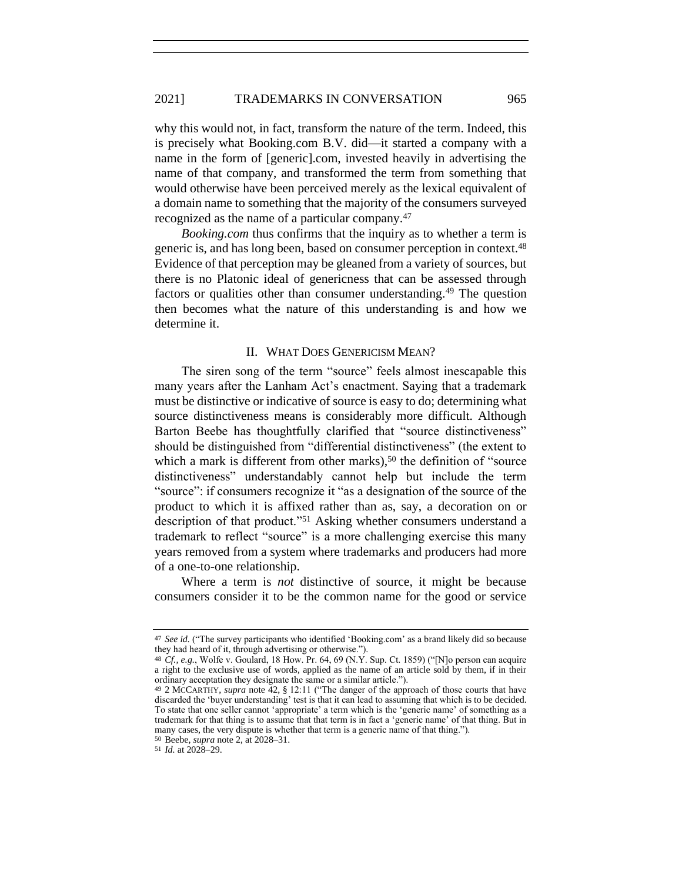why this would not, in fact, transform the nature of the term. Indeed, this is precisely what Booking.com B.V. did—it started a company with a name in the form of [generic].com, invested heavily in advertising the name of that company, and transformed the term from something that would otherwise have been perceived merely as the lexical equivalent of a domain name to something that the majority of the consumers surveyed recognized as the name of a particular company.<sup>47</sup>

*Booking.com* thus confirms that the inquiry as to whether a term is generic is, and has long been, based on consumer perception in context.<sup>48</sup> Evidence of that perception may be gleaned from a variety of sources, but there is no Platonic ideal of genericness that can be assessed through factors or qualities other than consumer understanding.<sup>49</sup> The question then becomes what the nature of this understanding is and how we determine it.

#### II. WHAT DOES GENERICISM MEAN?

The siren song of the term "source" feels almost inescapable this many years after the Lanham Act's enactment. Saying that a trademark must be distinctive or indicative of source is easy to do; determining what source distinctiveness means is considerably more difficult. Although Barton Beebe has thoughtfully clarified that "source distinctiveness" should be distinguished from "differential distinctiveness" (the extent to which a mark is different from other marks),<sup>50</sup> the definition of "source" distinctiveness" understandably cannot help but include the term "source": if consumers recognize it "as a designation of the source of the product to which it is affixed rather than as, say, a decoration on or description of that product."<sup>51</sup> Asking whether consumers understand a trademark to reflect "source" is a more challenging exercise this many years removed from a system where trademarks and producers had more of a one-to-one relationship.

Where a term is *not* distinctive of source, it might be because consumers consider it to be the common name for the good or service

<sup>47</sup> *See id.* ("The survey participants who identified 'Booking.com' as a brand likely did so because they had heard of it, through advertising or otherwise.").

<sup>48</sup> *Cf., e.g.*, Wolfe v. Goulard, 18 How. Pr. 64, 69 (N.Y. Sup. Ct. 1859) ("[N]o person can acquire a right to the exclusive use of words, applied as the name of an article sold by them, if in their ordinary acceptation they designate the same or a similar article.").

<sup>49</sup> 2 MCCARTHY, *supra* note [42,](#page-9-0) § 12:11 ("The danger of the approach of those courts that have discarded the 'buyer understanding' test is that it can lead to assuming that which is to be decided. To state that one seller cannot 'appropriate' a term which is the 'generic name' of something as a trademark for that thing is to assume that that term is in fact a 'generic name' of that thing. But in many cases, the very dispute is whether that term is a generic name of that thing.").

<sup>50</sup> Beebe, *supra* not[e 2,](#page-2-0) at 2028–31.

<sup>51</sup> *Id.* at 2028–29.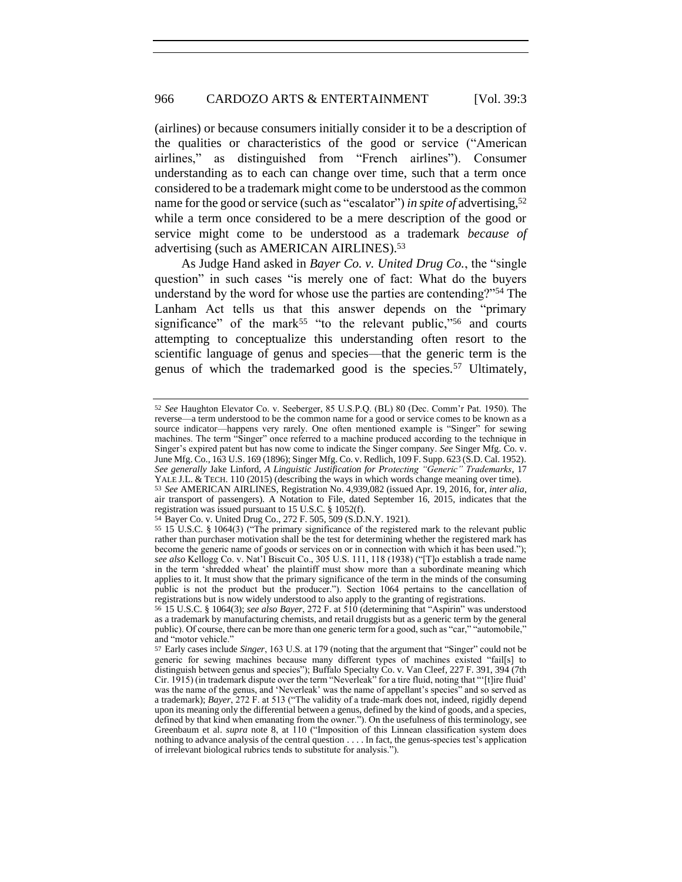(airlines) or because consumers initially consider it to be a description of the qualities or characteristics of the good or service ("American airlines," as distinguished from "French airlines"). Consumer understanding as to each can change over time, such that a term once considered to be a trademark might come to be understood as the common name for the good or service (such as "escalator") *in spite of* advertising,<sup>52</sup> while a term once considered to be a mere description of the good or service might come to be understood as a trademark *because of* advertising (such as AMERICAN AIRLINES).<sup>53</sup>

<span id="page-12-0"></span>As Judge Hand asked in *Bayer Co. v. United Drug Co.*, the "single question" in such cases "is merely one of fact: What do the buyers understand by the word for whose use the parties are contending?"<sup>54</sup> The Lanham Act tells us that this answer depends on the "primary significance" of the mark<sup>55</sup> "to the relevant public,"<sup>56</sup> and courts attempting to conceptualize this understanding often resort to the scientific language of genus and species—that the generic term is the genus of which the trademarked good is the species.<sup>57</sup> Ultimately,

<sup>52</sup> *See* Haughton Elevator Co. v. Seeberger, 85 U.S.P.Q. (BL) 80 (Dec. Comm'r Pat. 1950). The reverse—a term understood to be the common name for a good or service comes to be known as a source indicator—happens very rarely. One often mentioned example is "Singer" for sewing machines. The term "Singer" once referred to a machine produced according to the technique in Singer's expired patent but has now come to indicate the Singer company. *See* Singer Mfg. Co. v. June Mfg. Co., 163 U.S. 169 (1896); Singer Mfg. Co. v. Redlich, 109 F. Supp. 623 (S.D. Cal. 1952). *See generally* Jake Linford, *A Linguistic Justification for Protecting "Generic" Trademarks*, 17 YALE J.L. & TECH. 110 (2015) (describing the ways in which words change meaning over time). 53 *See* AMERICAN AIRLINES, Registration No. 4,939,082 (issued Apr. 19, 2016, for, *inter alia*,

air transport of passengers). A Notation to File, dated September 16, 2015, indicates that the registration was issued pursuant to 15 U.S.C. § 1052(f).

<sup>54</sup> Bayer Co. v. United Drug Co., 272 F. 505, 509 (S.D.N.Y. 1921).

<sup>55</sup> 15 U.S.C. § 1064(3) ("The primary significance of the registered mark to the relevant public rather than purchaser motivation shall be the test for determining whether the registered mark has become the generic name of goods or services on or in connection with which it has been used."); *see also* Kellogg Co. v. Nat'l Biscuit Co., 305 U.S. 111, 118 (1938) ("[T]o establish a trade name in the term 'shredded wheat' the plaintiff must show more than a subordinate meaning which applies to it. It must show that the primary significance of the term in the minds of the consuming public is not the product but the producer."). Section 1064 pertains to the cancellation of registrations but is now widely understood to also apply to the granting of registrations.

<sup>56</sup> 15 U.S.C. § 1064(3); *see also Bayer*, 272 F. at 510 (determining that "Aspirin" was understood as a trademark by manufacturing chemists, and retail druggists but as a generic term by the general public). Of course, there can be more than one generic term for a good, such as "car," "automobile," and "motor vehicle."

<sup>57</sup> Early cases include *Singer*, 163 U.S. at 179 (noting that the argument that "Singer" could not be generic for sewing machines because many different types of machines existed "fail[s] to distinguish between genus and species"); Buffalo Specialty Co. v. Van Cleef, 227 F. 391, 394 (7th Cir. 1915) (in trademark dispute over the term "Neverleak" for a tire fluid, noting that "'[t]ire fluid' was the name of the genus, and 'Neverleak' was the name of appellant's species" and so served as a trademark); *Bayer*, 272 F. at 513 ("The validity of a trade-mark does not, indeed, rigidly depend upon its meaning only the differential between a genus, defined by the kind of goods, and a species, defined by that kind when emanating from the owner."). On the usefulness of this terminology, see Greenbaum et al. *supra* note [8,](#page-4-0) at 110 ("Imposition of this Linnean classification system does nothing to advance analysis of the central question . . . . In fact, the genus-species test's application of irrelevant biological rubrics tends to substitute for analysis.").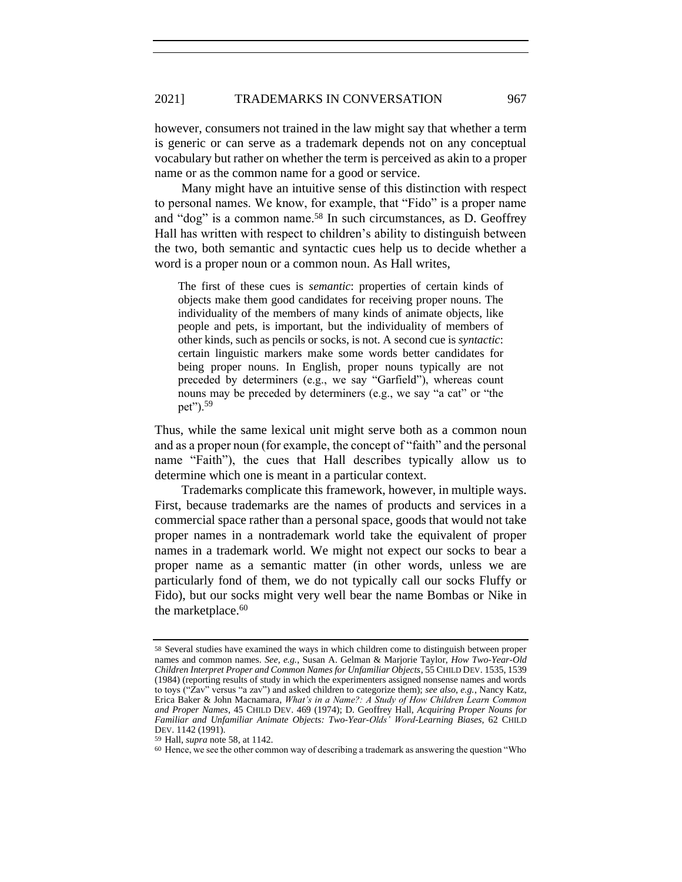however, consumers not trained in the law might say that whether a term is generic or can serve as a trademark depends not on any conceptual vocabulary but rather on whether the term is perceived as akin to a proper name or as the common name for a good or service.

Many might have an intuitive sense of this distinction with respect to personal names. We know, for example, that "Fido" is a proper name and "dog" is a common name.<sup>58</sup> In such circumstances, as D. Geoffrey Hall has written with respect to children's ability to distinguish between the two, both semantic and syntactic cues help us to decide whether a word is a proper noun or a common noun. As Hall writes,

<span id="page-13-0"></span>The first of these cues is *semantic*: properties of certain kinds of objects make them good candidates for receiving proper nouns. The individuality of the members of many kinds of animate objects, like people and pets, is important, but the individuality of members of other kinds, such as pencils or socks, is not. A second cue is *syntactic*: certain linguistic markers make some words better candidates for being proper nouns. In English, proper nouns typically are not preceded by determiners (e.g., we say "Garfield"), whereas count nouns may be preceded by determiners (e.g., we say "a cat" or "the pet").<sup>59</sup>

Thus, while the same lexical unit might serve both as a common noun and as a proper noun (for example, the concept of "faith" and the personal name "Faith"), the cues that Hall describes typically allow us to determine which one is meant in a particular context.

Trademarks complicate this framework, however, in multiple ways. First, because trademarks are the names of products and services in a commercial space rather than a personal space, goods that would not take proper names in a nontrademark world take the equivalent of proper names in a trademark world. We might not expect our socks to bear a proper name as a semantic matter (in other words, unless we are particularly fond of them, we do not typically call our socks Fluffy or Fido), but our socks might very well bear the name Bombas or Nike in the marketplace.<sup>60</sup>

<sup>58</sup> Several studies have examined the ways in which children come to distinguish between proper names and common names. *See, e.g.*, Susan A. Gelman & Marjorie Taylor, *How Two-Year-Old Children Interpret Proper and Common Names for Unfamiliar Objects*, 55 CHILD DEV. 1535, 1539 (1984) (reporting results of study in which the experimenters assigned nonsense names and words to toys ("Zav" versus "a zav") and asked children to categorize them); *see also, e.g.*, Nancy Katz, Erica Baker & John Macnamara, *What's in a Name?: A Study of How Children Learn Common and Proper Names*, 45 CHILD DEV. 469 (1974); D. Geoffrey Hall, *Acquiring Proper Nouns for Familiar and Unfamiliar Animate Objects: Two-Year-Olds' Word-Learning Biases*, 62 CHILD DEV. 1142 (1991).

<sup>59</sup> Hall, *supra* not[e 58,](#page-13-0) at 1142.

<sup>60</sup> Hence, we see the other common way of describing a trademark as answering the question "Who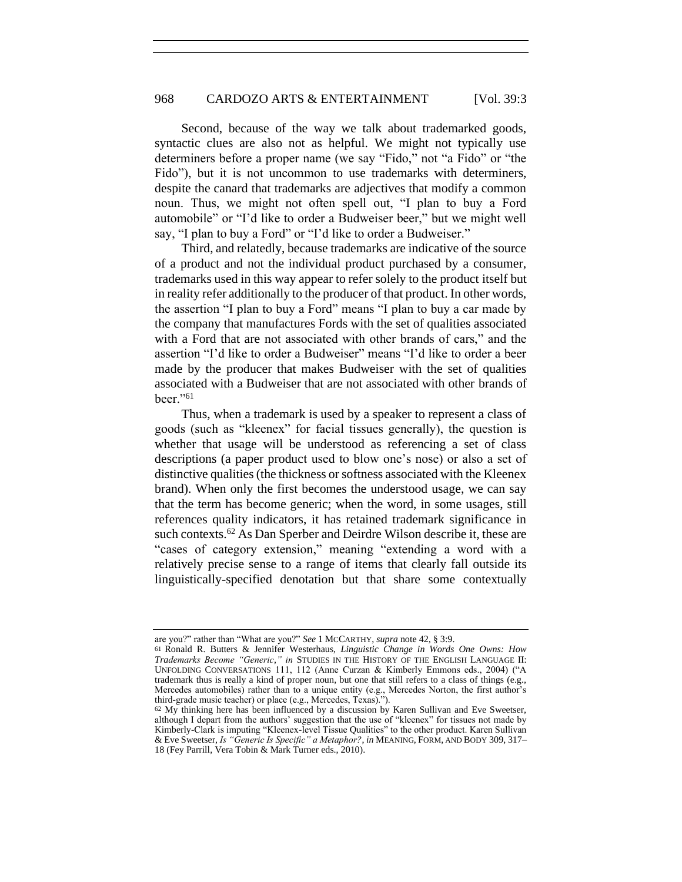Second, because of the way we talk about trademarked goods, syntactic clues are also not as helpful. We might not typically use determiners before a proper name (we say "Fido," not "a Fido" or "the Fido"), but it is not uncommon to use trademarks with determiners, despite the canard that trademarks are adjectives that modify a common noun. Thus, we might not often spell out, "I plan to buy a Ford automobile" or "I'd like to order a Budweiser beer," but we might well say, "I plan to buy a Ford" or "I'd like to order a Budweiser."

Third, and relatedly, because trademarks are indicative of the source of a product and not the individual product purchased by a consumer, trademarks used in this way appear to refer solely to the product itself but in reality refer additionally to the producer of that product. In other words, the assertion "I plan to buy a Ford" means "I plan to buy a car made by the company that manufactures Fords with the set of qualities associated with a Ford that are not associated with other brands of cars," and the assertion "I'd like to order a Budweiser" means "I'd like to order a beer made by the producer that makes Budweiser with the set of qualities associated with a Budweiser that are not associated with other brands of beer."<sup>61</sup>

<span id="page-14-0"></span>Thus, when a trademark is used by a speaker to represent a class of goods (such as "kleenex" for facial tissues generally), the question is whether that usage will be understood as referencing a set of class descriptions (a paper product used to blow one's nose) or also a set of distinctive qualities (the thickness or softness associated with the Kleenex brand). When only the first becomes the understood usage, we can say that the term has become generic; when the word, in some usages, still references quality indicators, it has retained trademark significance in such contexts.<sup>62</sup> As Dan Sperber and Deirdre Wilson describe it, these are "cases of category extension," meaning "extending a word with a relatively precise sense to a range of items that clearly fall outside its linguistically-specified denotation but that share some contextually

are you?" rather than "What are you?" *See* 1 MCCARTHY, *supra* not[e 42,](#page-9-0) § 3:9.

<sup>61</sup> Ronald R. Butters & Jennifer Westerhaus, *Linguistic Change in Words One Owns: How Trademarks Become "Generic*,*" in* STUDIES IN THE HISTORY OF THE ENGLISH LANGUAGE II: UNFOLDING CONVERSATIONS 111, 112 (Anne Curzan & Kimberly Emmons eds., 2004) ("A trademark thus is really a kind of proper noun, but one that still refers to a class of things (e.g., Mercedes automobiles) rather than to a unique entity (e.g., Mercedes Norton, the first author's third-grade music teacher) or place (e.g., Mercedes, Texas).").

<sup>62</sup> My thinking here has been influenced by a discussion by Karen Sullivan and Eve Sweetser, although I depart from the authors' suggestion that the use of "kleenex" for tissues not made by Kimberly-Clark is imputing "Kleenex-level Tissue Qualities" to the other product. Karen Sullivan & Eve Sweetser, *Is "Generic Is Specific" a Metaphor?*, *in* MEANING, FORM, AND BODY 309, 317– 18 (Fey Parrill, Vera Tobin & Mark Turner eds., 2010).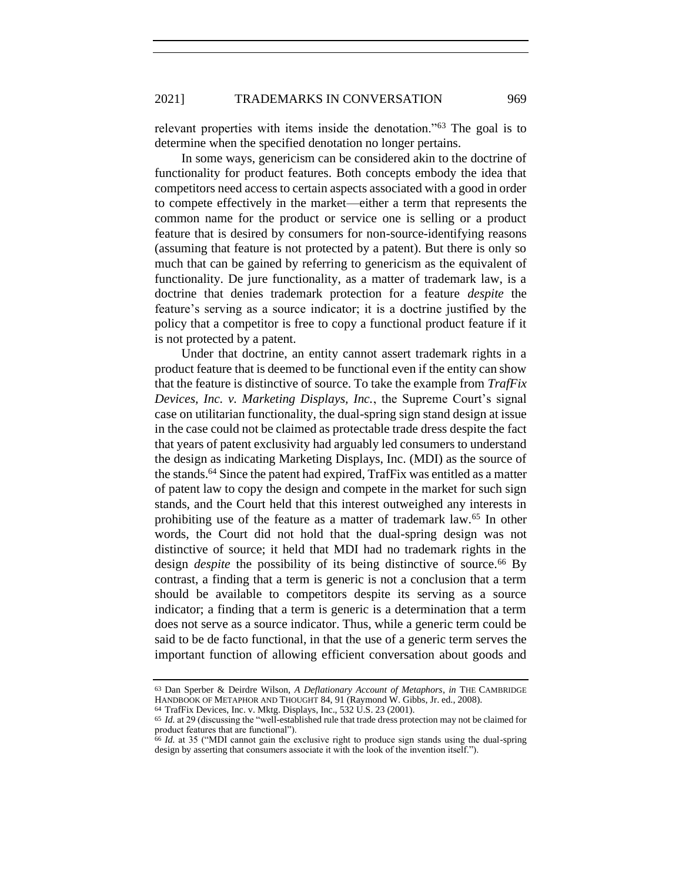relevant properties with items inside the denotation."<sup>63</sup> The goal is to determine when the specified denotation no longer pertains.

In some ways, genericism can be considered akin to the doctrine of functionality for product features. Both concepts embody the idea that competitors need access to certain aspects associated with a good in order to compete effectively in the market—either a term that represents the common name for the product or service one is selling or a product feature that is desired by consumers for non-source-identifying reasons (assuming that feature is not protected by a patent). But there is only so much that can be gained by referring to genericism as the equivalent of functionality. De jure functionality, as a matter of trademark law, is a doctrine that denies trademark protection for a feature *despite* the feature's serving as a source indicator; it is a doctrine justified by the policy that a competitor is free to copy a functional product feature if it is not protected by a patent.

Under that doctrine, an entity cannot assert trademark rights in a product feature that is deemed to be functional even if the entity can show that the feature is distinctive of source. To take the example from *TrafFix Devices, Inc. v. Marketing Displays, Inc.*, the Supreme Court's signal case on utilitarian functionality, the dual-spring sign stand design at issue in the case could not be claimed as protectable trade dress despite the fact that years of patent exclusivity had arguably led consumers to understand the design as indicating Marketing Displays, Inc. (MDI) as the source of the stands.<sup>64</sup> Since the patent had expired, TrafFix was entitled as a matter of patent law to copy the design and compete in the market for such sign stands, and the Court held that this interest outweighed any interests in prohibiting use of the feature as a matter of trademark law.<sup>65</sup> In other words, the Court did not hold that the dual-spring design was not distinctive of source; it held that MDI had no trademark rights in the design *despite* the possibility of its being distinctive of source.<sup>66</sup> By contrast, a finding that a term is generic is not a conclusion that a term should be available to competitors despite its serving as a source indicator; a finding that a term is generic is a determination that a term does not serve as a source indicator. Thus, while a generic term could be said to be de facto functional, in that the use of a generic term serves the important function of allowing efficient conversation about goods and

<span id="page-15-0"></span>

<sup>63</sup> Dan Sperber & Deirdre Wilson, *A Deflationary Account of Metaphors*, *in* THE CAMBRIDGE HANDBOOK OF METAPHOR AND THOUGHT 84, 91 (Raymond W. Gibbs, Jr. ed., 2008). 64 TrafFix Devices, Inc. v. Mktg. Displays, Inc., 532 U.S. 23 (2001).

<sup>65</sup> *Id.* at 29 (discussing the "well-established rule that trade dress protection may not be claimed for product features that are functional").

<sup>66</sup> *Id.* at 35 ("MDI cannot gain the exclusive right to produce sign stands using the dual-spring design by asserting that consumers associate it with the look of the invention itself.").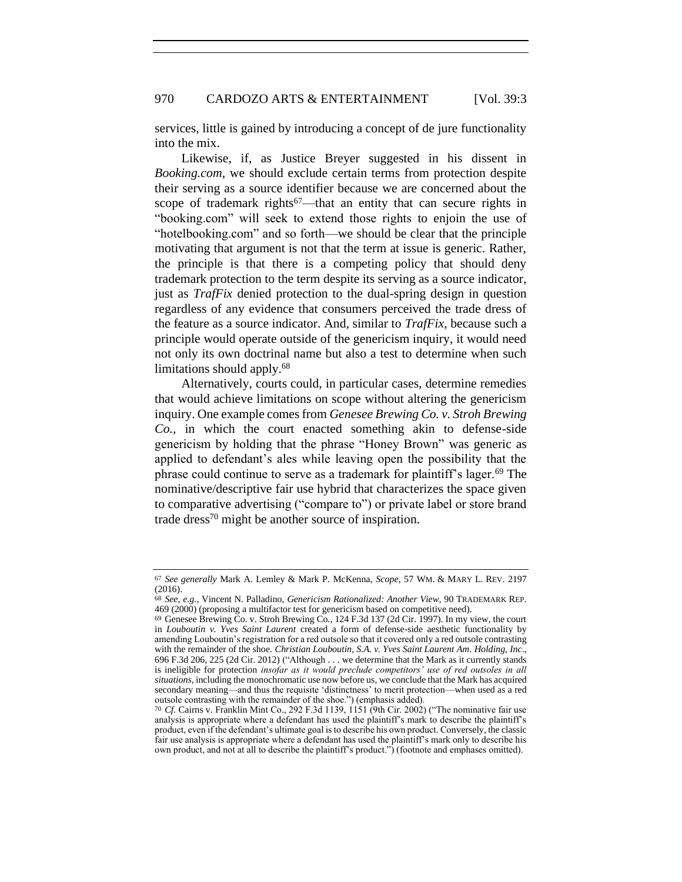services, little is gained by introducing a concept of de jure functionality into the mix.

Likewise, if, as Justice Breyer suggested in his dissent in *Booking.com*, we should exclude certain terms from protection despite their serving as a source identifier because we are concerned about the scope of trademark rights<sup>67</sup>—that an entity that can secure rights in "booking.com" will seek to extend those rights to enjoin the use of "hotelbooking.com" and so forth—we should be clear that the principle motivating that argument is not that the term at issue is generic. Rather, the principle is that there is a competing policy that should deny trademark protection to the term despite its serving as a source indicator, just as *TrafFix* denied protection to the dual-spring design in question regardless of any evidence that consumers perceived the trade dress of the feature as a source indicator. And, similar to *TrafFix*, because such a principle would operate outside of the genericism inquiry, it would need not only its own doctrinal name but also a test to determine when such limitations should apply.<sup>68</sup>

Alternatively, courts could, in particular cases, determine remedies that would achieve limitations on scope without altering the genericism inquiry. One example comes from *Genesee Brewing Co. v. Stroh Brewing Co.*, in which the court enacted something akin to defense-side genericism by holding that the phrase "Honey Brown" was generic as applied to defendant's ales while leaving open the possibility that the phrase could continue to serve as a trademark for plaintiff's lager.<sup>69</sup> The nominative/descriptive fair use hybrid that characterizes the space given to comparative advertising ("compare to") or private label or store brand trade dress<sup>70</sup> might be another source of inspiration.

<sup>67</sup> *See generally* Mark A. Lemley & Mark P. McKenna, *Scope*, 57 WM. & MARY L. REV. 2197 (2016).

<sup>68</sup> *See, e.g.*, Vincent N. Palladino, *Genericism Rationalized: Another View*, 90 TRADEMARK REP. 469 (2000) (proposing a multifactor test for genericism based on competitive need).

<sup>69</sup> Genesee Brewing Co. v. Stroh Brewing Co., 124 F.3d 137 (2d Cir. 1997). In my view, the court in *Louboutin v. Yves Saint Laurent* created a form of defense-side aesthetic functionality by amending Louboutin's registration for a red outsole so that it covered only a red outsole contrasting with the remainder of the shoe. *Christian Louboutin, S.A. v. Yves Saint Laurent Am*. *Holding, Inc*., 696 F.3d 206, 225 (2d Cir. 2012) ("Although . . . we determine that the Mark as it currently stands is ineligible for protection *insofar as it would preclude competitors' use of red outsoles in all situations*, including the monochromatic use now before us, we conclude that the Mark has acquired secondary meaning—and thus the requisite 'distinctness' to merit protection—when used as a red outsole contrasting with the remainder of the shoe.") (emphasis added).

<sup>70</sup> *Cf.* Cairns v. Franklin Mint Co., 292 F.3d 1139, 1151 (9th Cir. 2002) ("The nominative fair use analysis is appropriate where a defendant has used the plaintiff's mark to describe the plaintiff's product, even if the defendant's ultimate goal is to describe his own product. Conversely, the classic fair use analysis is appropriate where a defendant has used the plaintiff's mark only to describe his own product, and not at all to describe the plaintiff's product.") (footnote and emphases omitted).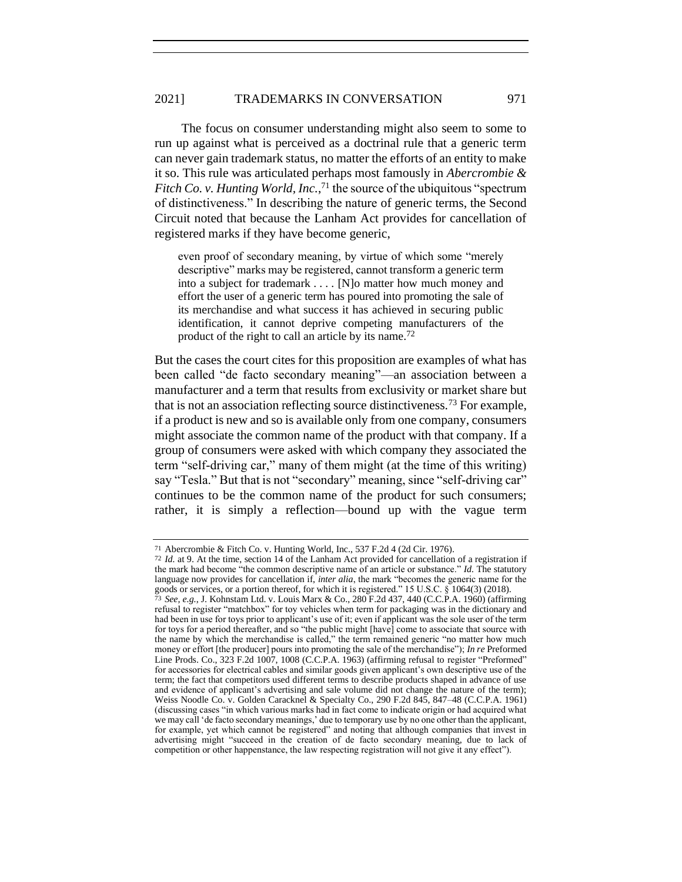The focus on consumer understanding might also seem to some to run up against what is perceived as a doctrinal rule that a generic term can never gain trademark status, no matter the efforts of an entity to make it so. This rule was articulated perhaps most famously in *Abercrombie & Fitch Co. v. Hunting World, Inc.*, <sup>71</sup> the source of the ubiquitous "spectrum of distinctiveness." In describing the nature of generic terms, the Second Circuit noted that because the Lanham Act provides for cancellation of registered marks if they have become generic,

even proof of secondary meaning, by virtue of which some "merely descriptive" marks may be registered, cannot transform a generic term into a subject for trademark . . . . [N]o matter how much money and effort the user of a generic term has poured into promoting the sale of its merchandise and what success it has achieved in securing public identification, it cannot deprive competing manufacturers of the product of the right to call an article by its name.<sup>72</sup>

But the cases the court cites for this proposition are examples of what has been called "de facto secondary meaning"—an association between a manufacturer and a term that results from exclusivity or market share but that is not an association reflecting source distinctiveness.<sup>73</sup> For example, if a product is new and so is available only from one company, consumers might associate the common name of the product with that company. If a group of consumers were asked with which company they associated the term "self-driving car," many of them might (at the time of this writing) say "Tesla." But that is not "secondary" meaning, since "self-driving car" continues to be the common name of the product for such consumers; rather, it is simply a reflection—bound up with the vague term

<sup>71</sup> Abercrombie & Fitch Co. v. Hunting World, Inc., 537 F.2d 4 (2d Cir. 1976).

<sup>72</sup> *Id.* at 9. At the time, section 14 of the Lanham Act provided for cancellation of a registration if the mark had become "the common descriptive name of an article or substance." *Id.* The statutory language now provides for cancellation if, *inter alia*, the mark "becomes the generic name for the goods or services, or a portion thereof, for which it is registered." 15 U.S.C. § 1064(3) (2018). 73 *See, e.g.*, J. Kohnstam Ltd. v. Louis Marx & Co., 280 F.2d 437, 440 (C.C.P.A. 1960) (affirming refusal to register "matchbox" for toy vehicles when term for packaging was in the dictionary and had been in use for toys prior to applicant's use of it; even if applicant was the sole user of the term for toys for a period thereafter, and so "the public might [have] come to associate that source with the name by which the merchandise is called," the term remained generic "no matter how much money or effort [the producer] pours into promoting the sale of the merchandise"); *In re* Preformed Line Prods. Co., 323 F.2d 1007, 1008 (C.C.P.A. 1963) (affirming refusal to register "Preformed" for accessories for electrical cables and similar goods given applicant's own descriptive use of the term; the fact that competitors used different terms to describe products shaped in advance of use and evidence of applicant's advertising and sale volume did not change the nature of the term); Weiss Noodle Co. v. Golden Caracknel & Specialty Co., 290 F.2d 845, 847–48 (C.C.P.A. 1961) (discussing cases "in which various marks had in fact come to indicate origin or had acquired what we may call 'de facto secondary meanings,' due to temporary use by no one other than the applicant, for example, yet which cannot be registered" and noting that although companies that invest in advertising might "succeed in the creation of de facto secondary meaning, due to lack of competition or other happenstance, the law respecting registration will not give it any effect").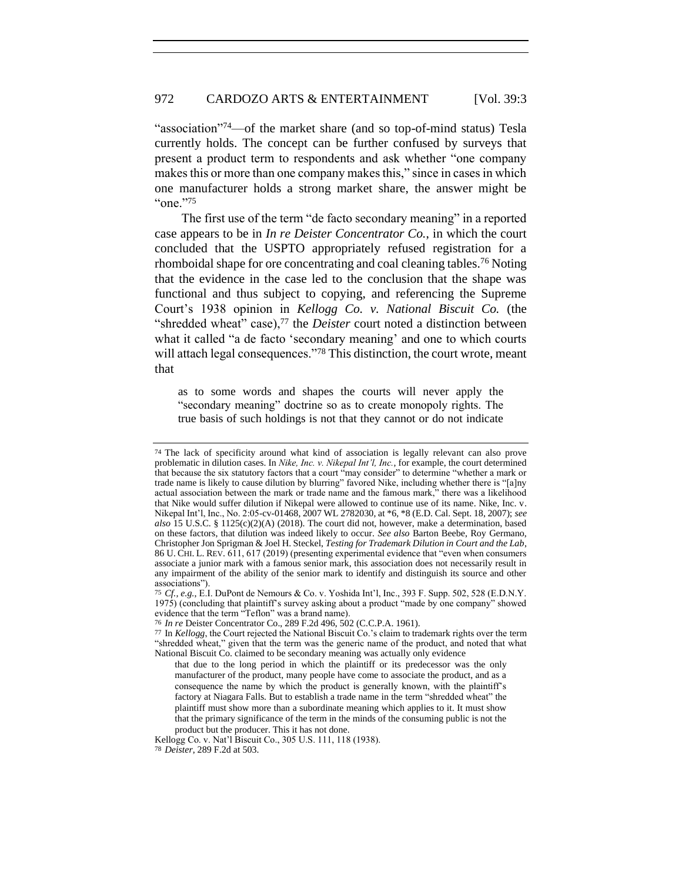"association"<sup>74</sup>—of the market share (and so top-of-mind status) Tesla currently holds. The concept can be further confused by surveys that present a product term to respondents and ask whether "one company makes this or more than one company makes this," since in cases in which one manufacturer holds a strong market share, the answer might be "one."<sup>75</sup>

The first use of the term "de facto secondary meaning" in a reported case appears to be in *In re Deister Concentrator Co.*, in which the court concluded that the USPTO appropriately refused registration for a rhomboidal shape for ore concentrating and coal cleaning tables.<sup>76</sup> Noting that the evidence in the case led to the conclusion that the shape was functional and thus subject to copying, and referencing the Supreme Court's 1938 opinion in *Kellogg Co. v. National Biscuit Co.* (the "shredded wheat" case),<sup>77</sup> the *Deister* court noted a distinction between what it called "a de facto 'secondary meaning' and one to which courts will attach legal consequences."78 This distinction, the court wrote, meant that

as to some words and shapes the courts will never apply the "secondary meaning" doctrine so as to create monopoly rights. The true basis of such holdings is not that they cannot or do not indicate

<sup>74</sup> The lack of specificity around what kind of association is legally relevant can also prove problematic in dilution cases. In *Nike, Inc. v. Nikepal Int'l, Inc.*, for example, the court determined that because the six statutory factors that a court "may consider" to determine "whether a mark or trade name is likely to cause dilution by blurring" favored Nike, including whether there is "[a]ny actual association between the mark or trade name and the famous mark," there was a likelihood that Nike would suffer dilution if Nikepal were allowed to continue use of its name. Nike, Inc. v. Nikepal Int'l, Inc., No. 2:05-cv-01468, 2007 WL 2782030, at \*6, \*8 (E.D. Cal. Sept. 18, 2007); *see also* 15 U.S.C. § 1125(c)(2)(A) (2018). The court did not, however, make a determination, based on these factors, that dilution was indeed likely to occur. *See also* Barton Beebe, Roy Germano, Christopher Jon Sprigman & Joel H. Steckel, *Testing for Trademark Dilution in Court and the Lab*, 86 U. CHI. L. REV. 611, 617 (2019) (presenting experimental evidence that "even when consumers associate a junior mark with a famous senior mark, this association does not necessarily result in any impairment of the ability of the senior mark to identify and distinguish its source and other associations").

<sup>75</sup> *Cf., e.g.*, E.I. DuPont de Nemours & Co. v. Yoshida Int'l, Inc., 393 F. Supp. 502, 528 (E.D.N.Y. 1975) (concluding that plaintiff's survey asking about a product "made by one company" showed evidence that the term "Teflon" was a brand name).

<sup>76</sup> *In re* Deister Concentrator Co., 289 F.2d 496, 502 (C.C.P.A. 1961).

<sup>77</sup> In *Kellogg*, the Court rejected the National Biscuit Co.'s claim to trademark rights over the term "shredded wheat," given that the term was the generic name of the product, and noted that what National Biscuit Co. claimed to be secondary meaning was actually only evidence

that due to the long period in which the plaintiff or its predecessor was the only manufacturer of the product, many people have come to associate the product, and as a consequence the name by which the product is generally known, with the plaintiff's factory at Niagara Falls. But to establish a trade name in the term "shredded wheat" the plaintiff must show more than a subordinate meaning which applies to it. It must show that the primary significance of the term in the minds of the consuming public is not the product but the producer. This it has not done.

Kellogg Co. v. Nat'l Biscuit Co., 305 U.S. 111, 118 (1938).

<sup>78</sup> *Deister*, 289 F.2d at 503.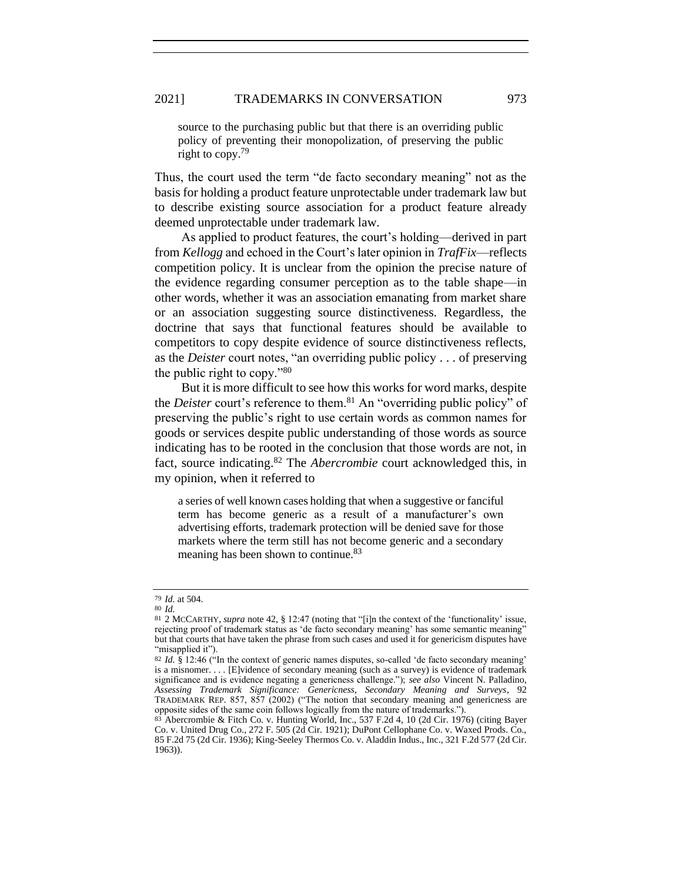source to the purchasing public but that there is an overriding public policy of preventing their monopolization, of preserving the public right to copy.<sup>79</sup>

Thus, the court used the term "de facto secondary meaning" not as the basis for holding a product feature unprotectable under trademark law but to describe existing source association for a product feature already deemed unprotectable under trademark law.

As applied to product features, the court's holding—derived in part from *Kellogg* and echoed in the Court's later opinion in *TrafFix*—reflects competition policy. It is unclear from the opinion the precise nature of the evidence regarding consumer perception as to the table shape—in other words, whether it was an association emanating from market share or an association suggesting source distinctiveness. Regardless, the doctrine that says that functional features should be available to competitors to copy despite evidence of source distinctiveness reflects, as the *Deister* court notes, "an overriding public policy . . . of preserving the public right to copy."<sup>80</sup>

But it is more difficult to see how this works for word marks, despite the *Deister* court's reference to them.<sup>81</sup> An "overriding public policy" of preserving the public's right to use certain words as common names for goods or services despite public understanding of those words as source indicating has to be rooted in the conclusion that those words are not, in fact, source indicating.<sup>82</sup> The *Abercrombie* court acknowledged this, in my opinion, when it referred to

<span id="page-19-0"></span>a series of well known cases holding that when a suggestive or fanciful term has become generic as a result of a manufacturer's own advertising efforts, trademark protection will be denied save for those markets where the term still has not become generic and a secondary meaning has been shown to continue.<sup>83</sup>

<sup>79</sup> *Id.* at 504.

<sup>80</sup> *Id.*

<sup>81</sup> 2 MCCARTHY, *supra* note [42,](#page-9-0) § 12:47 (noting that "[i]n the context of the 'functionality' issue, rejecting proof of trademark status as 'de facto secondary meaning' has some semantic meaning" but that courts that have taken the phrase from such cases and used it for genericism disputes have "misapplied it").

<sup>82</sup> *Id.* § 12:46 ("In the context of generic names disputes, so-called 'de facto secondary meaning' is a misnomer. . . . [E]vidence of secondary meaning (such as a survey) is evidence of trademark significance and is evidence negating a genericness challenge."); *see also* Vincent N. Palladino, *Assessing Trademark Significance: Genericness, Secondary Meaning and Surveys*, 92 TRADEMARK REP. 857, 857 (2002) ("The notion that secondary meaning and genericness are opposite sides of the same coin follows logically from the nature of trademarks.").

<sup>83</sup> Abercrombie & Fitch Co. v. Hunting World, Inc., 537 F.2d 4, 10 (2d Cir. 1976) (citing Bayer Co. v. United Drug Co., 272 F. 505 (2d Cir. 1921); DuPont Cellophane Co. v. Waxed Prods. Co., 85 F.2d 75 (2d Cir. 1936); King-Seeley Thermos Co. v. Aladdin Indus., Inc., 321 F.2d 577 (2d Cir. 1963)).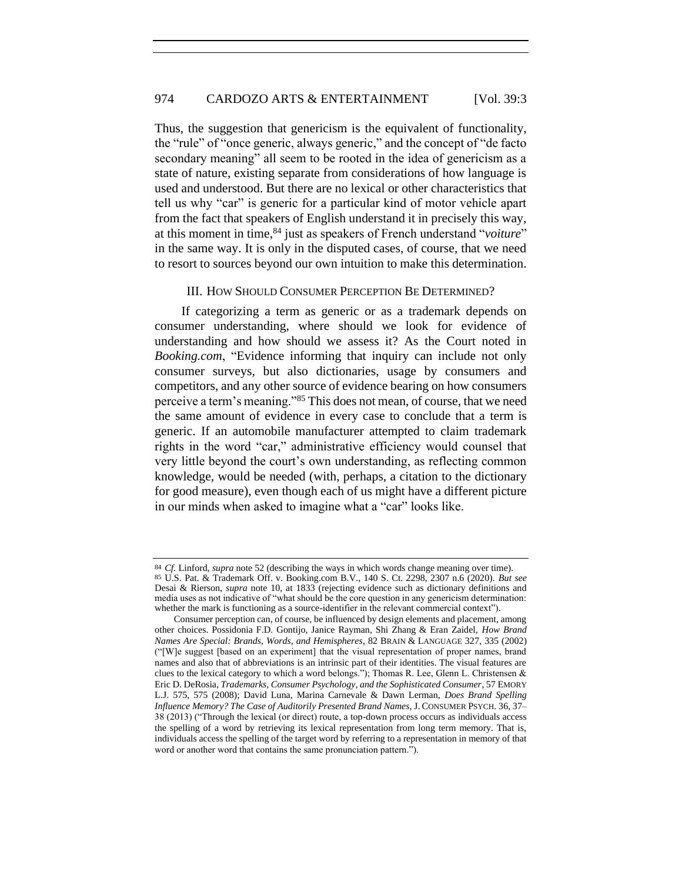Thus, the suggestion that genericism is the equivalent of functionality, the "rule" of "once generic, always generic," and the concept of "de facto secondary meaning" all seem to be rooted in the idea of genericism as a state of nature, existing separate from considerations of how language is used and understood. But there are no lexical or other characteristics that tell us why "car" is generic for a particular kind of motor vehicle apart from the fact that speakers of English understand it in precisely this way, at this moment in time,<sup>84</sup> just as speakers of French understand "*voiture*" in the same way. It is only in the disputed cases, of course, that we need to resort to sources beyond our own intuition to make this determination.

#### III. HOW SHOULD CONSUMER PERCEPTION BE DETERMINED?

If categorizing a term as generic or as a trademark depends on consumer understanding, where should we look for evidence of understanding and how should we assess it? As the Court noted in *Booking.com*, "Evidence informing that inquiry can include not only consumer surveys, but also dictionaries, usage by consumers and competitors, and any other source of evidence bearing on how consumers perceive a term's meaning."<sup>85</sup> This does not mean, of course, that we need the same amount of evidence in every case to conclude that a term is generic. If an automobile manufacturer attempted to claim trademark rights in the word "car," administrative efficiency would counsel that very little beyond the court's own understanding, as reflecting common knowledge, would be needed (with, perhaps, a citation to the dictionary for good measure), even though each of us might have a different picture in our minds when asked to imagine what a "car" looks like.

<sup>84</sup> *Cf.* Linford, *supra* not[e 52](#page-12-0) (describing the ways in which words change meaning over time). 85 U.S. Pat. & Trademark Off. v. Booking.com B.V., 140 S. Ct. 2298, 2307 n.6 (2020). *But see* Desai & Rierson, *supra* note [10,](#page-4-1) at 1833 (rejecting evidence such as dictionary definitions and media uses as not indicative of "what should be the core question in any genericism determination: whether the mark is functioning as a source-identifier in the relevant commercial context").

Consumer perception can, of course, be influenced by design elements and placement, among other choices. Possidonia F.D. Gontijo, Janice Rayman, Shi Zhang & Eran Zaidel, *How Brand Names Are Special: Brands, Words, and Hemispheres*, 82 BRAIN & LANGUAGE 327, 335 (2002) ("[W]e suggest [based on an experiment] that the visual representation of proper names, brand names and also that of abbreviations is an intrinsic part of their identities. The visual features are clues to the lexical category to which a word belongs."); Thomas R. Lee, Glenn L. Christensen & Eric D. DeRosia, *Trademarks, Consumer Psychology, and the Sophisticated Consumer*, 57 EMORY L.J. 575, 575 (2008); David Luna, Marina Carnevale & Dawn Lerman, *Does Brand Spelling Influence Memory? The Case of Auditorily Presented Brand Names*, J. CONSUMER PSYCH. 36, 37– 38 (2013) ("Through the lexical (or direct) route, a top-down process occurs as individuals access the spelling of a word by retrieving its lexical representation from long term memory. That is, individuals access the spelling of the target word by referring to a representation in memory of that word or another word that contains the same pronunciation pattern.").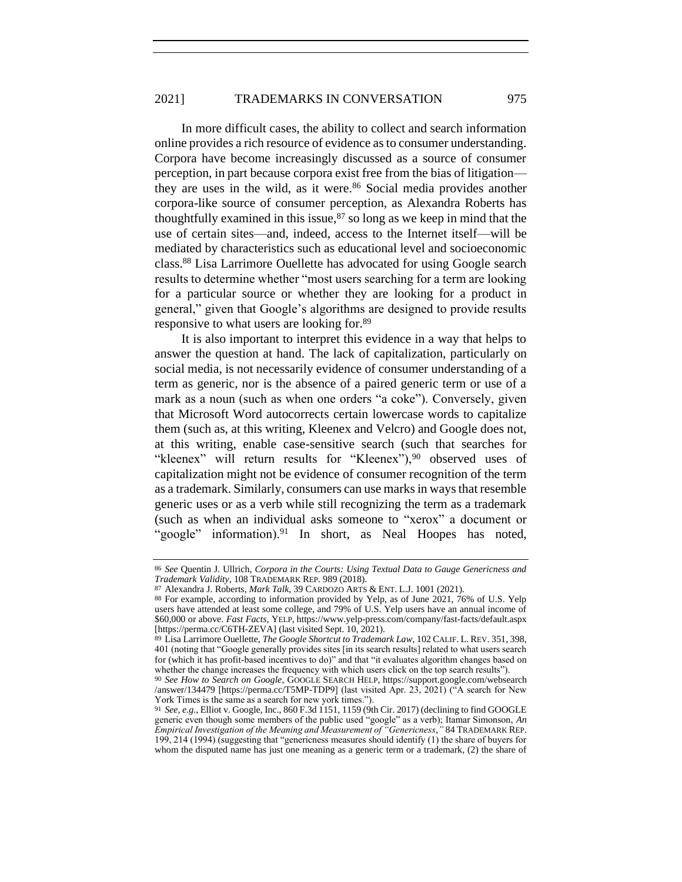In more difficult cases, the ability to collect and search information online provides a rich resource of evidence as to consumer understanding. Corpora have become increasingly discussed as a source of consumer perception, in part because corpora exist free from the bias of litigation they are uses in the wild, as it were.<sup>86</sup> Social media provides another corpora-like source of consumer perception, as Alexandra Roberts has thoughtfully examined in this issue, $87$  so long as we keep in mind that the use of certain sites—and, indeed, access to the Internet itself—will be mediated by characteristics such as educational level and socioeconomic class.<sup>88</sup> Lisa Larrimore Ouellette has advocated for using Google search results to determine whether "most users searching for a term are looking for a particular source or whether they are looking for a product in general," given that Google's algorithms are designed to provide results responsive to what users are looking for.<sup>89</sup>

It is also important to interpret this evidence in a way that helps to answer the question at hand. The lack of capitalization, particularly on social media, is not necessarily evidence of consumer understanding of a term as generic, nor is the absence of a paired generic term or use of a mark as a noun (such as when one orders "a coke"). Conversely, given that Microsoft Word autocorrects certain lowercase words to capitalize them (such as, at this writing, Kleenex and Velcro) and Google does not, at this writing, enable case-sensitive search (such that searches for "kleenex" will return results for "Kleenex"),<sup>90</sup> observed uses of capitalization might not be evidence of consumer recognition of the term as a trademark. Similarly, consumers can use marks in ways that resemble generic uses or as a verb while still recognizing the term as a trademark (such as when an individual asks someone to "xerox" a document or "google" information).<sup>91</sup> In short, as Neal Hoopes has noted,

<span id="page-21-1"></span>

<span id="page-21-0"></span><sup>86</sup> *See* Quentin J. Ullrich, *Corpora in the Courts: Using Textual Data to Gauge Genericness and Trademark Validity*, 108 TRADEMARK REP. 989 (2018).

<sup>87</sup> Alexandra J. Roberts, *Mark Talk*, 39 CARDOZO ARTS & ENT. L.J. 1001 (2021).

<sup>88</sup> For example, according to information provided by Yelp, as of June 2021, 76% of U.S. Yelp users have attended at least some college, and 79% of U.S. Yelp users have an annual income of \$60,000 or above. *Fast Facts*, YELP, https://www.yelp-press.com/company/fast-facts/default.aspx [https://perma.cc/C6TH-ZEVA] (last visited Sept. 10, 2021).

<sup>89</sup> Lisa Larrimore Ouellette, *The Google Shortcut to Trademark Law*, 102 CALIF. L. REV. 351, 398, 401 (noting that "Google generally provides sites [in its search results] related to what users search for (which it has profit-based incentives to do)" and that "it evaluates algorithm changes based on whether the change increases the frequency with which users click on the top search results").

<sup>90</sup> *See How to Search on Google*, GOOGLE SEARCH HELP, https://support.google.com/websearch /answer/134479 [https://perma.cc/T5MP-TDP9] (last visited Apr. 23, 2021) ("A search for New York Times is the same as a search for new york times.").

<sup>91</sup> *See, e.g.*, Elliot v. Google, Inc., 860 F.3d 1151, 1159 (9th Cir. 2017) (declining to find GOOGLE generic even though some members of the public used "google" as a verb); Itamar Simonson, *An Empirical Investigation of the Meaning and Measurement of "Genericness*,*"* 84 TRADEMARK REP. 199, 214 (1994) (suggesting that "genericness measures should identify (1) the share of buyers for whom the disputed name has just one meaning as a generic term or a trademark, (2) the share of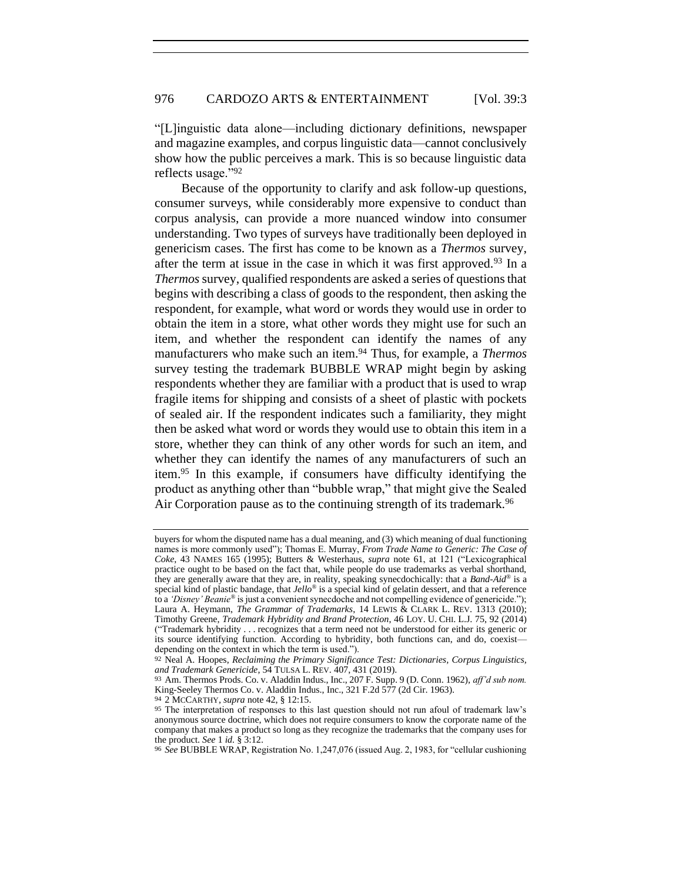"[L]inguistic data alone—including dictionary definitions, newspaper and magazine examples, and corpus linguistic data—cannot conclusively show how the public perceives a mark. This is so because linguistic data reflects usage."<sup>92</sup>

Because of the opportunity to clarify and ask follow-up questions, consumer surveys, while considerably more expensive to conduct than corpus analysis, can provide a more nuanced window into consumer understanding. Two types of surveys have traditionally been deployed in genericism cases. The first has come to be known as a *Thermos* survey, after the term at issue in the case in which it was first approved.<sup>93</sup> In a *Thermos* survey, qualified respondents are asked a series of questions that begins with describing a class of goods to the respondent, then asking the respondent, for example, what word or words they would use in order to obtain the item in a store, what other words they might use for such an item, and whether the respondent can identify the names of any manufacturers who make such an item.<sup>94</sup> Thus, for example, a *Thermos* survey testing the trademark BUBBLE WRAP might begin by asking respondents whether they are familiar with a product that is used to wrap fragile items for shipping and consists of a sheet of plastic with pockets of sealed air. If the respondent indicates such a familiarity, they might then be asked what word or words they would use to obtain this item in a store, whether they can think of any other words for such an item, and whether they can identify the names of any manufacturers of such an item.<sup>95</sup> In this example, if consumers have difficulty identifying the product as anything other than "bubble wrap," that might give the Sealed Air Corporation pause as to the continuing strength of its trademark.<sup>96</sup>

94 2 MCCARTHY, *supra* note [42,](#page-9-0) § 12:15.

buyers for whom the disputed name has a dual meaning, and (3) which meaning of dual functioning names is more commonly used"); Thomas E. Murray, *From Trade Name to Generic: The Case of Coke*, 43 NAMES 165 (1995); Butters & Westerhaus, *supra* note [61,](#page-14-0) at 121 ("Lexicographical practice ought to be based on the fact that, while people do use trademarks as verbal shorthand, they are generally aware that they are, in reality, speaking synecdochically: that a *Band-Aid*® is a special kind of plastic bandage, that *Jello*® is a special kind of gelatin dessert, and that a reference to a *'Disney' Beanie*® is just a convenient synecdoche and not compelling evidence of genericide."); Laura A. Heymann, *The Grammar of Trademarks*, 14 LEWIS & CLARK L. REV. 1313 (2010); Timothy Greene, *Trademark Hybridity and Brand Protection*, 46 LOY. U. CHI. L.J. 75, 92 (2014) ("Trademark hybridity . . . recognizes that a term need not be understood for either its generic or its source identifying function. According to hybridity, both functions can, and do, coexist depending on the context in which the term is used.").

<sup>92</sup> Neal A. Hoopes, *Reclaiming the Primary Significance Test: Dictionaries, Corpus Linguistics, and Trademark Genericide*, 54 TULSA L. REV. 407, 431 (2019).

<sup>93</sup> Am. Thermos Prods. Co. v. Aladdin Indus., Inc., 207 F. Supp. 9 (D. Conn. 1962), *aff'd sub nom.* King-Seeley Thermos Co. v. Aladdin Indus., Inc., 321 F.2d 577 (2d Cir. 1963).

<sup>95</sup> The interpretation of responses to this last question should not run afoul of trademark law's anonymous source doctrine, which does not require consumers to know the corporate name of the company that makes a product so long as they recognize the trademarks that the company uses for the product. *See* 1 *id.* § 3:12.

<sup>96</sup> *See* BUBBLE WRAP, Registration No. 1,247,076 (issued Aug. 2, 1983, for "cellular cushioning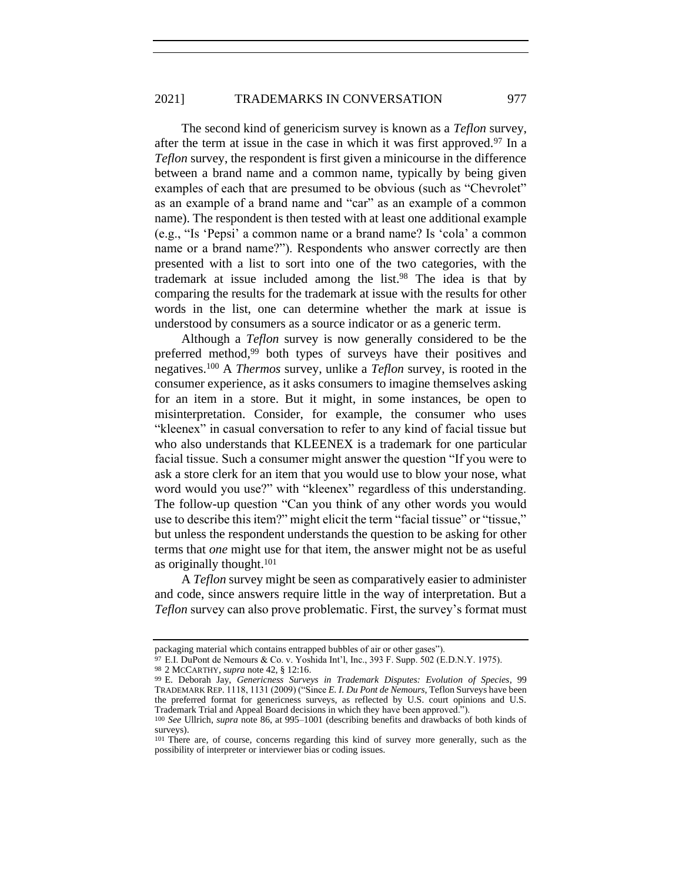The second kind of genericism survey is known as a *Teflon* survey, after the term at issue in the case in which it was first approved.<sup>97</sup> In a *Teflon* survey, the respondent is first given a minicourse in the difference between a brand name and a common name, typically by being given examples of each that are presumed to be obvious (such as "Chevrolet" as an example of a brand name and "car" as an example of a common name). The respondent is then tested with at least one additional example (e.g., "Is 'Pepsi' a common name or a brand name? Is 'cola' a common name or a brand name?"). Respondents who answer correctly are then presented with a list to sort into one of the two categories, with the trademark at issue included among the list.<sup>98</sup> The idea is that by comparing the results for the trademark at issue with the results for other words in the list, one can determine whether the mark at issue is understood by consumers as a source indicator or as a generic term.

Although a *Teflon* survey is now generally considered to be the preferred method,<sup>99</sup> both types of surveys have their positives and negatives.<sup>100</sup> A *Thermos* survey, unlike a *Teflon* survey, is rooted in the consumer experience, as it asks consumers to imagine themselves asking for an item in a store. But it might, in some instances, be open to misinterpretation. Consider, for example, the consumer who uses "kleenex" in casual conversation to refer to any kind of facial tissue but who also understands that KLEENEX is a trademark for one particular facial tissue. Such a consumer might answer the question "If you were to ask a store clerk for an item that you would use to blow your nose, what word would you use?" with "kleenex" regardless of this understanding. The follow-up question "Can you think of any other words you would use to describe this item?" might elicit the term "facial tissue" or "tissue," but unless the respondent understands the question to be asking for other terms that *one* might use for that item, the answer might not be as useful as originally thought.<sup>101</sup>

A *Teflon* survey might be seen as comparatively easier to administer and code, since answers require little in the way of interpretation. But a *Teflon* survey can also prove problematic. First, the survey's format must

<span id="page-23-0"></span>

packaging material which contains entrapped bubbles of air or other gases").

<sup>97</sup> E.I. DuPont de Nemours & Co. v. Yoshida Int'l, Inc., 393 F. Supp. 502 (E.D.N.Y. 1975).

<sup>98</sup> 2 MCCARTHY, *supra* note [42,](#page-9-0) § 12:16.

<sup>99</sup> E. Deborah Jay, *Genericness Surveys in Trademark Disputes: Evolution of Species*, 99 TRADEMARK REP. 1118, 1131 (2009) ("Since *E. I. Du Pont de Nemours*, Teflon Surveys have been the preferred format for genericness surveys, as reflected by U.S. court opinions and U.S. Trademark Trial and Appeal Board decisions in which they have been approved.").

<sup>100</sup> *See* Ullrich, *supra* note [86,](#page-21-1) at 995–1001 (describing benefits and drawbacks of both kinds of surveys).

<sup>101</sup> There are, of course, concerns regarding this kind of survey more generally, such as the possibility of interpreter or interviewer bias or coding issues.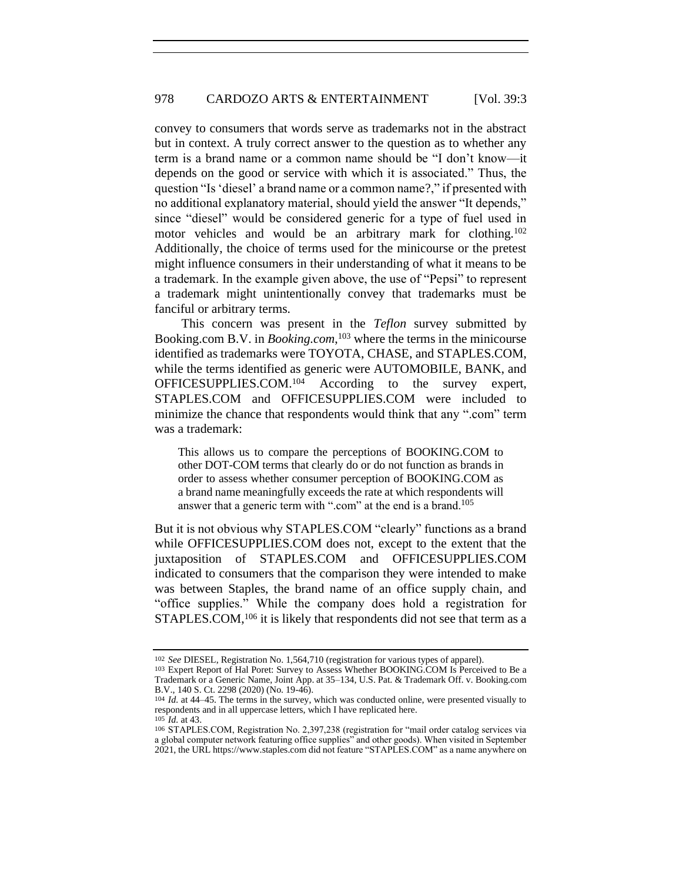convey to consumers that words serve as trademarks not in the abstract but in context. A truly correct answer to the question as to whether any term is a brand name or a common name should be "I don't know—it depends on the good or service with which it is associated." Thus, the question "Is 'diesel' a brand name or a common name?," if presented with no additional explanatory material, should yield the answer "It depends," since "diesel" would be considered generic for a type of fuel used in motor vehicles and would be an arbitrary mark for clothing.<sup>102</sup> Additionally, the choice of terms used for the minicourse or the pretest might influence consumers in their understanding of what it means to be a trademark. In the example given above, the use of "Pepsi" to represent a trademark might unintentionally convey that trademarks must be fanciful or arbitrary terms.

<span id="page-24-1"></span><span id="page-24-0"></span>This concern was present in the *Teflon* survey submitted by Booking.com B.V. in *Booking.com*, <sup>103</sup> where the terms in the minicourse identified as trademarks were TOYOTA, CHASE, and STAPLES.COM, while the terms identified as generic were AUTOMOBILE, BANK, and OFFICESUPPLIES.COM.<sup>104</sup> According to the survey expert, STAPLES.COM and OFFICESUPPLIES.COM were included to minimize the chance that respondents would think that any ".com" term was a trademark:

This allows us to compare the perceptions of BOOKING.COM to other DOT-COM terms that clearly do or do not function as brands in order to assess whether consumer perception of BOOKING.COM as a brand name meaningfully exceeds the rate at which respondents will answer that a generic term with ".com" at the end is a brand.<sup>105</sup>

But it is not obvious why STAPLES.COM "clearly" functions as a brand while OFFICESUPPLIES.COM does not, except to the extent that the juxtaposition of STAPLES.COM and OFFICESUPPLIES.COM indicated to consumers that the comparison they were intended to make was between Staples, the brand name of an office supply chain, and "office supplies." While the company does hold a registration for STAPLES.COM,<sup>106</sup> it is likely that respondents did not see that term as a

<sup>102</sup> *See* DIESEL, Registration No. 1,564,710 (registration for various types of apparel).

<sup>103</sup> Expert Report of Hal Poret: Survey to Assess Whether BOOKING.COM Is Perceived to Be a Trademark or a Generic Name, Joint App. at 35–134, U.S. Pat. & Trademark Off. v. Booking.com B.V., 140 S. Ct. 2298 (2020) (No. 19-46).

<sup>104</sup> *Id.* at 44–45. The terms in the survey, which was conducted online, were presented visually to respondents and in all uppercase letters, which I have replicated here. 105 *Id.* at 43.

<sup>106</sup> STAPLES.COM, Registration No. 2,397,238 (registration for "mail order catalog services via a global computer network featuring office supplies" and other goods). When visited in September 2021, the URL https://www.staples.com did not feature "STAPLES.COM" as a name anywhere on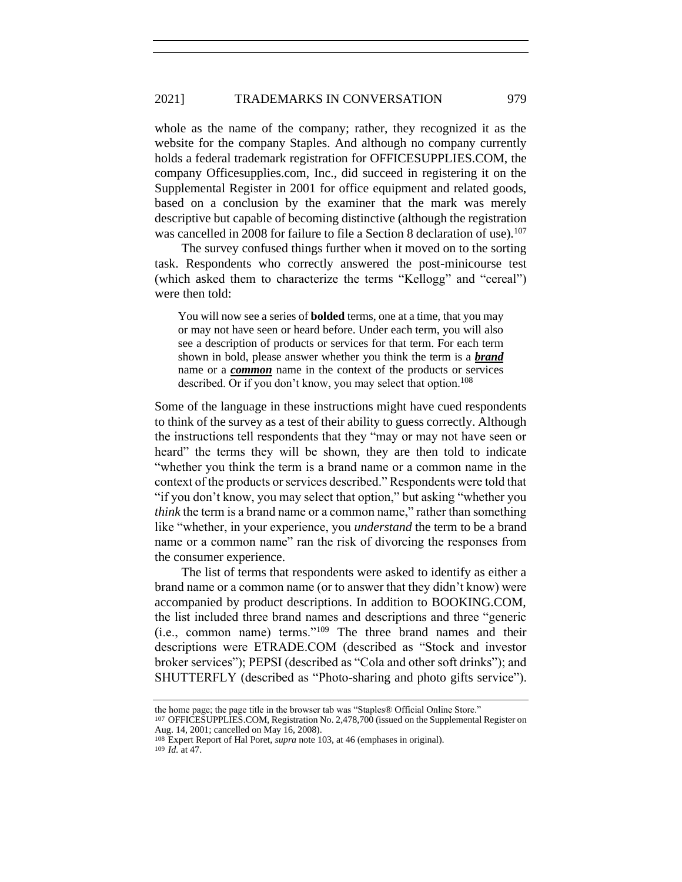whole as the name of the company; rather, they recognized it as the website for the company Staples. And although no company currently holds a federal trademark registration for OFFICESUPPLIES.COM, the company Officesupplies.com, Inc., did succeed in registering it on the Supplemental Register in 2001 for office equipment and related goods, based on a conclusion by the examiner that the mark was merely descriptive but capable of becoming distinctive (although the registration was cancelled in 2008 for failure to file a Section 8 declaration of use).<sup>107</sup>

The survey confused things further when it moved on to the sorting task. Respondents who correctly answered the post-minicourse test (which asked them to characterize the terms "Kellogg" and "cereal") were then told:

You will now see a series of **bolded** terms, one at a time, that you may or may not have seen or heard before. Under each term, you will also see a description of products or services for that term. For each term shown in bold, please answer whether you think the term is a *brand* name or a *common* name in the context of the products or services described. Or if you don't know, you may select that option.<sup>108</sup>

Some of the language in these instructions might have cued respondents to think of the survey as a test of their ability to guess correctly. Although the instructions tell respondents that they "may or may not have seen or heard" the terms they will be shown, they are then told to indicate "whether you think the term is a brand name or a common name in the context of the products or services described." Respondents were told that "if you don't know, you may select that option," but asking "whether you *think* the term is a brand name or a common name," rather than something like "whether, in your experience, you *understand* the term to be a brand name or a common name" ran the risk of divorcing the responses from the consumer experience.

The list of terms that respondents were asked to identify as either a brand name or a common name (or to answer that they didn't know) were accompanied by product descriptions. In addition to BOOKING.COM, the list included three brand names and descriptions and three "generic (i.e., common name) terms."<sup>109</sup> The three brand names and their descriptions were ETRADE.COM (described as "Stock and investor broker services"); PEPSI (described as "Cola and other soft drinks"); and SHUTTERFLY (described as "Photo-sharing and photo gifts service").

109 *Id.* at 47.

the home page; the page title in the browser tab was "Staples® Official Online Store."

<sup>107</sup> OFFICESUPPLIES.COM, Registration No. 2,478,700 (issued on the Supplemental Register on Aug. 14, 2001; cancelled on May 16, 2008).

<sup>108</sup> Expert Report of Hal Poret, *supra* not[e 103,](#page-24-1) at 46 (emphases in original).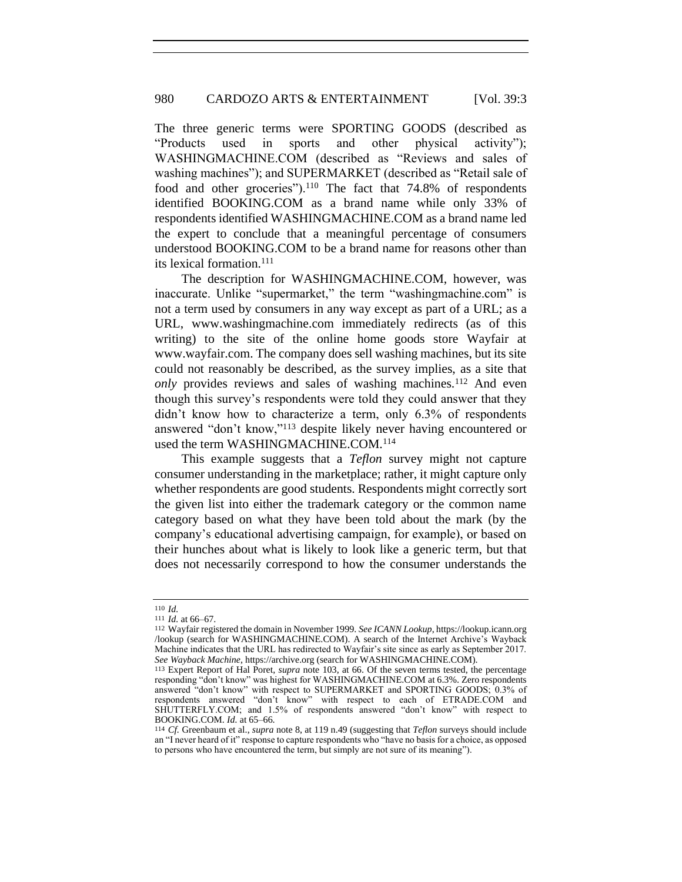The three generic terms were SPORTING GOODS (described as "Products used in sports and other physical activity"); WASHINGMACHINE.COM (described as "Reviews and sales of washing machines"); and SUPERMARKET (described as "Retail sale of food and other groceries").<sup>110</sup> The fact that 74.8% of respondents identified BOOKING.COM as a brand name while only 33% of respondents identified WASHINGMACHINE.COM as a brand name led the expert to conclude that a meaningful percentage of consumers understood BOOKING.COM to be a brand name for reasons other than its lexical formation.<sup>111</sup>

The description for WASHINGMACHINE.COM, however, was inaccurate. Unlike "supermarket," the term "washingmachine.com" is not a term used by consumers in any way except as part of a URL; as a URL, www.washingmachine.com immediately redirects (as of this writing) to the site of the online home goods store Wayfair at www.wayfair.com. The company does sell washing machines, but its site could not reasonably be described, as the survey implies, as a site that *only* provides reviews and sales of washing machines.<sup>112</sup> And even though this survey's respondents were told they could answer that they didn't know how to characterize a term, only 6.3% of respondents answered "don't know,"<sup>113</sup> despite likely never having encountered or used the term WASHINGMACHINE.COM.<sup>114</sup>

<span id="page-26-0"></span>This example suggests that a *Teflon* survey might not capture consumer understanding in the marketplace; rather, it might capture only whether respondents are good students. Respondents might correctly sort the given list into either the trademark category or the common name category based on what they have been told about the mark (by the company's educational advertising campaign, for example), or based on their hunches about what is likely to look like a generic term, but that does not necessarily correspond to how the consumer understands the

<sup>110</sup> *Id.*

<sup>111</sup> *Id.* at 66–67.

<sup>112</sup> Wayfair registered the domain in November 1999. *See ICANN Lookup*, https://lookup.icann.org /lookup (search for WASHINGMACHINE.COM). A search of the Internet Archive's Wayback Machine indicates that the URL has redirected to Wayfair's site since as early as September 2017. *See Wayback Machine*, https://archive.org (search for WASHINGMACHINE.COM).

<sup>113</sup> Expert Report of Hal Poret, *supra* note [103,](#page-24-1) at 66. Of the seven terms tested, the percentage responding "don't know" was highest for WASHINGMACHINE.COM at 6.3%. Zero respondents answered "don't know" with respect to SUPERMARKET and SPORTING GOODS; 0.3% of respondents answered "don't know" with respect to each of ETRADE.COM and SHUTTERFLY.COM; and 1.5% of respondents answered "don't know" with respect to BOOKING.COM. *Id.* at 65–66.

<sup>114</sup> *Cf.* Greenbaum et al., *supra* note [8,](#page-4-0) at 119 n.49 (suggesting that *Teflon* surveys should include an "I never heard of it" response to capture respondents who "have no basis for a choice, as opposed to persons who have encountered the term, but simply are not sure of its meaning").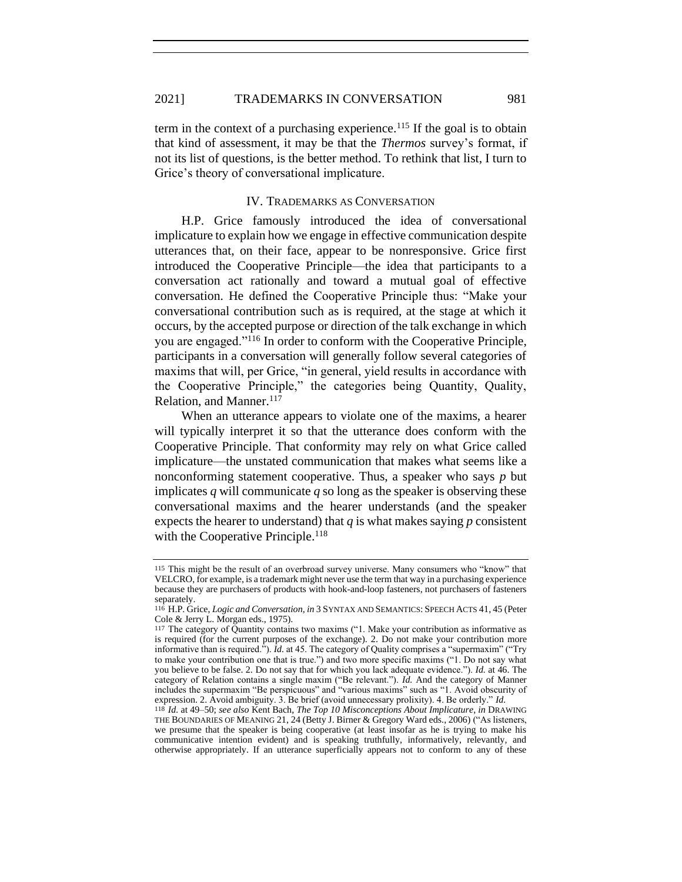term in the context of a purchasing experience.<sup>115</sup> If the goal is to obtain that kind of assessment, it may be that the *Thermos* survey's format, if not its list of questions, is the better method. To rethink that list, I turn to Grice's theory of conversational implicature.

#### IV. TRADEMARKS AS CONVERSATION

H.P. Grice famously introduced the idea of conversational implicature to explain how we engage in effective communication despite utterances that, on their face, appear to be nonresponsive. Grice first introduced the Cooperative Principle—the idea that participants to a conversation act rationally and toward a mutual goal of effective conversation. He defined the Cooperative Principle thus: "Make your conversational contribution such as is required, at the stage at which it occurs, by the accepted purpose or direction of the talk exchange in which you are engaged."<sup>116</sup> In order to conform with the Cooperative Principle, participants in a conversation will generally follow several categories of maxims that will, per Grice, "in general, yield results in accordance with the Cooperative Principle," the categories being Quantity, Quality, Relation, and Manner.<sup>117</sup>

<span id="page-27-0"></span>When an utterance appears to violate one of the maxims, a hearer will typically interpret it so that the utterance does conform with the Cooperative Principle. That conformity may rely on what Grice called implicature—the unstated communication that makes what seems like a nonconforming statement cooperative. Thus, a speaker who says *p* but implicates *q* will communicate *q* so long as the speaker is observing these conversational maxims and the hearer understands (and the speaker expects the hearer to understand) that  $q$  is what makes saying  $p$  consistent with the Cooperative Principle.<sup>118</sup>

<sup>115</sup> This might be the result of an overbroad survey universe. Many consumers who "know" that VELCRO, for example, is a trademark might never use the term that way in a purchasing experience because they are purchasers of products with hook-and-loop fasteners, not purchasers of fasteners separately.

<sup>116</sup> H.P. Grice, *Logic and Conversation*, *in* 3 SYNTAX AND SEMANTICS: SPEECH ACTS 41, 45 (Peter Cole & Jerry L. Morgan eds., 1975).

<sup>117</sup> The category of Quantity contains two maxims ("1. Make your contribution as informative as is required (for the current purposes of the exchange). 2. Do not make your contribution more informative than is required."). *Id.* at 45. The category of Quality comprises a "supermaxim" ("Try to make your contribution one that is true.") and two more specific maxims ("1. Do not say what you believe to be false. 2. Do not say that for which you lack adequate evidence."). *Id.* at 46. The category of Relation contains a single maxim ("Be relevant."). *Id.* And the category of Manner includes the supermaxim "Be perspicuous" and "various maxims" such as "1. Avoid obscurity of expression. 2. Avoid ambiguity. 3. Be brief (avoid unnecessary prolixity). 4. Be orderly." *Id.*

<sup>118</sup> *Id.* at 49–50; *see also* Kent Bach, *The Top 10 Misconceptions About Implicature*, *in* DRAWING THE BOUNDARIES OF MEANING 21, 24 (Betty J. Birner & Gregory Ward eds., 2006) ("As listeners, we presume that the speaker is being cooperative (at least insofar as he is trying to make his communicative intention evident) and is speaking truthfully, informatively, relevantly, and otherwise appropriately. If an utterance superficially appears not to conform to any of these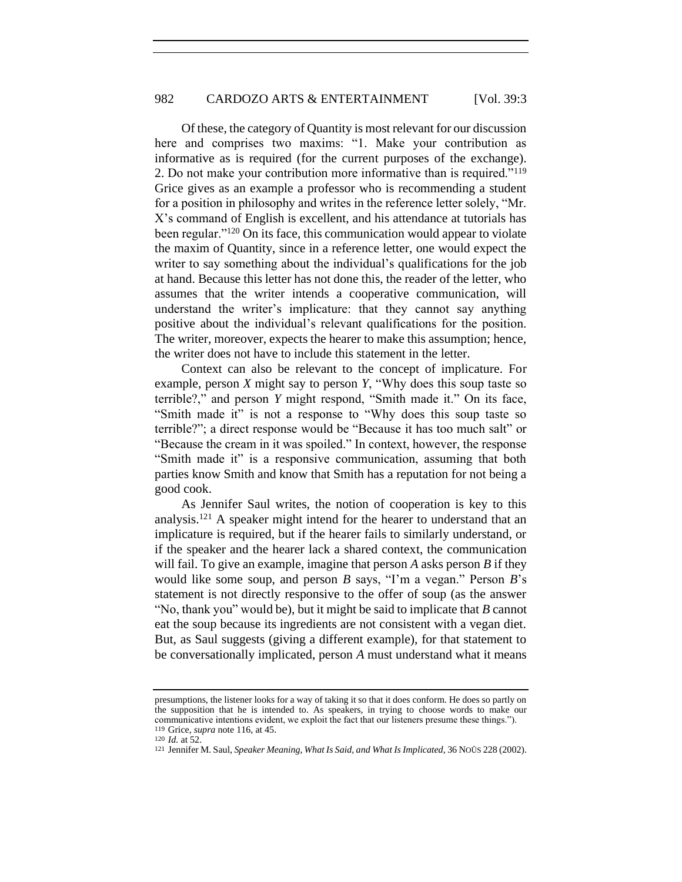Of these, the category of Quantity is most relevant for our discussion here and comprises two maxims: "1. Make your contribution as informative as is required (for the current purposes of the exchange). 2. Do not make your contribution more informative than is required."<sup>119</sup> Grice gives as an example a professor who is recommending a student for a position in philosophy and writes in the reference letter solely, "Mr. X's command of English is excellent, and his attendance at tutorials has been regular."<sup>120</sup> On its face, this communication would appear to violate the maxim of Quantity, since in a reference letter, one would expect the writer to say something about the individual's qualifications for the job at hand. Because this letter has not done this, the reader of the letter, who assumes that the writer intends a cooperative communication, will understand the writer's implicature: that they cannot say anything positive about the individual's relevant qualifications for the position. The writer, moreover, expects the hearer to make this assumption; hence, the writer does not have to include this statement in the letter.

Context can also be relevant to the concept of implicature. For example, person *X* might say to person *Y*, "Why does this soup taste so terrible?," and person *Y* might respond, "Smith made it." On its face, "Smith made it" is not a response to "Why does this soup taste so terrible?"; a direct response would be "Because it has too much salt" or "Because the cream in it was spoiled." In context, however, the response "Smith made it" is a responsive communication, assuming that both parties know Smith and know that Smith has a reputation for not being a good cook.

As Jennifer Saul writes, the notion of cooperation is key to this analysis.<sup>121</sup> A speaker might intend for the hearer to understand that an implicature is required, but if the hearer fails to similarly understand, or if the speaker and the hearer lack a shared context, the communication will fail. To give an example, imagine that person *A* asks person *B* if they would like some soup, and person *B* says, "I'm a vegan." Person *B*'s statement is not directly responsive to the offer of soup (as the answer "No, thank you" would be), but it might be said to implicate that *B* cannot eat the soup because its ingredients are not consistent with a vegan diet. But, as Saul suggests (giving a different example), for that statement to be conversationally implicated, person *A* must understand what it means

presumptions, the listener looks for a way of taking it so that it does conform. He does so partly on the supposition that he is intended to. As speakers, in trying to choose words to make our communicative intentions evident, we exploit the fact that our listeners presume these things."). 119 Grice, *supra* not[e 116,](#page-27-0) at 45.

<sup>120</sup> *Id.* at 52.

<sup>121</sup> Jennifer M. Saul, *Speaker Meaning, What Is Said, and What Is Implicated*, 36 NOÛS 228 (2002).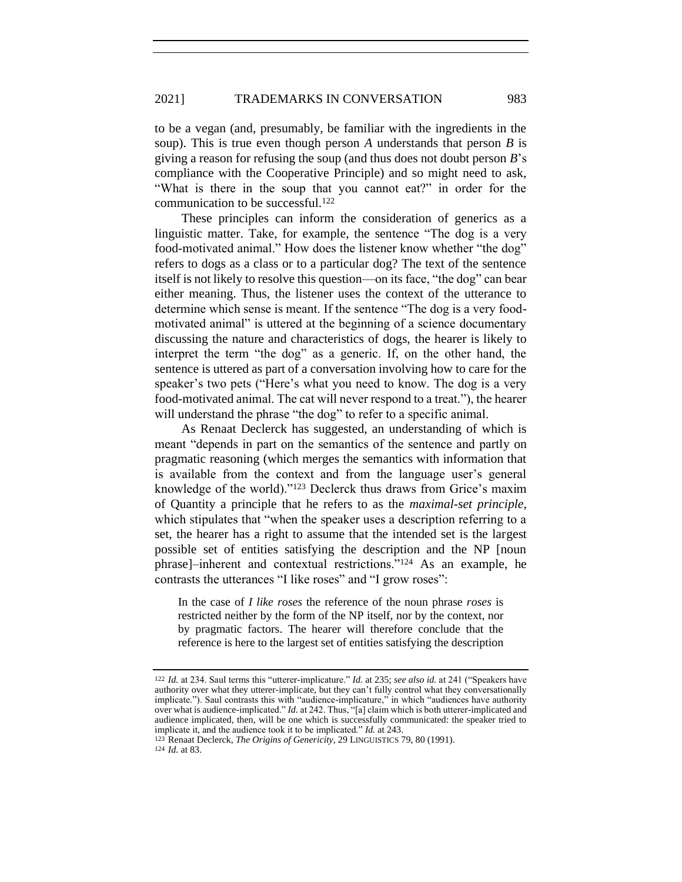to be a vegan (and, presumably, be familiar with the ingredients in the soup). This is true even though person *A* understands that person *B* is giving a reason for refusing the soup (and thus does not doubt person *B*'s compliance with the Cooperative Principle) and so might need to ask, "What is there in the soup that you cannot eat?" in order for the communication to be successful.<sup>122</sup>

<span id="page-29-0"></span>These principles can inform the consideration of generics as a linguistic matter. Take, for example, the sentence "The dog is a very food-motivated animal." How does the listener know whether "the dog" refers to dogs as a class or to a particular dog? The text of the sentence itself is not likely to resolve this question—on its face, "the dog" can bear either meaning. Thus, the listener uses the context of the utterance to determine which sense is meant. If the sentence "The dog is a very foodmotivated animal" is uttered at the beginning of a science documentary discussing the nature and characteristics of dogs, the hearer is likely to interpret the term "the dog" as a generic. If, on the other hand, the sentence is uttered as part of a conversation involving how to care for the speaker's two pets ("Here's what you need to know. The dog is a very food-motivated animal. The cat will never respond to a treat."), the hearer will understand the phrase "the dog" to refer to a specific animal.

As Renaat Declerck has suggested, an understanding of which is meant "depends in part on the semantics of the sentence and partly on pragmatic reasoning (which merges the semantics with information that is available from the context and from the language user's general knowledge of the world)."<sup>123</sup> Declerck thus draws from Grice's maxim of Quantity a principle that he refers to as the *maximal-set principle*, which stipulates that "when the speaker uses a description referring to a set, the hearer has a right to assume that the intended set is the largest possible set of entities satisfying the description and the NP [noun phrase]–inherent and contextual restrictions."<sup>124</sup> As an example, he contrasts the utterances "I like roses" and "I grow roses":

In the case of *I like roses* the reference of the noun phrase *roses* is restricted neither by the form of the NP itself, nor by the context, nor by pragmatic factors. The hearer will therefore conclude that the reference is here to the largest set of entities satisfying the description

<sup>122</sup> *Id.* at 234. Saul terms this "utterer-implicature." *Id.* at 235; *see also id.* at 241 ("Speakers have authority over what they utterer-implicate, but they can't fully control what they conversationally implicate."). Saul contrasts this with "audience-implicature," in which "audiences have authority over what is audience-implicated." *Id.* at 242. Thus, "[a] claim which is both utterer-implicated and audience implicated, then, will be one which is successfully communicated: the speaker tried to implicate it, and the audience took it to be implicated." *Id.* at 243.

<sup>123</sup> Renaat Declerck, *The Origins of Genericity*, 29 LINGUISTICS 79, 80 (1991).

<sup>124</sup> *Id.* at 83.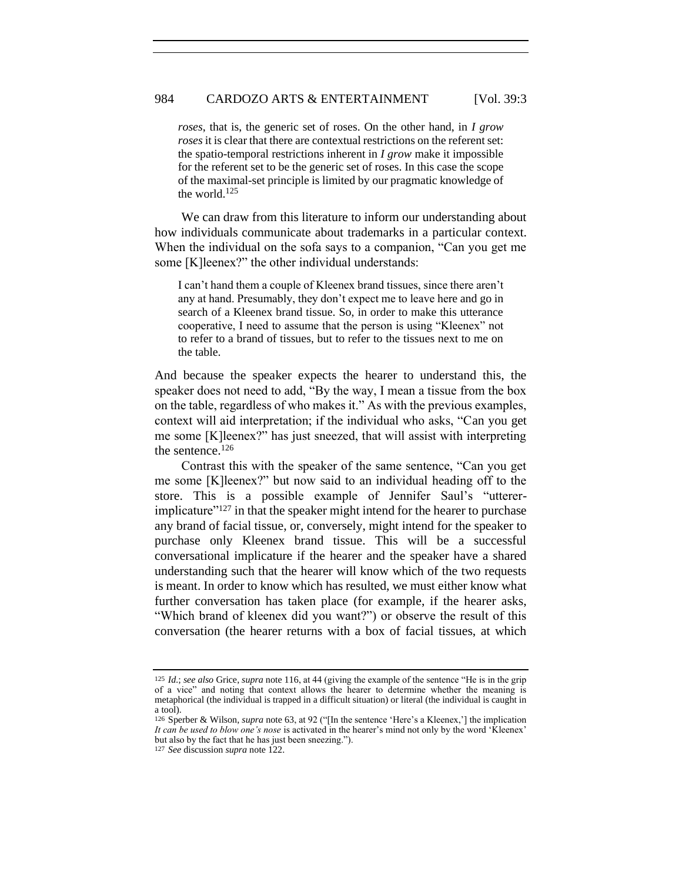*roses*, that is, the generic set of roses. On the other hand, in *I grow roses* it is clear that there are contextual restrictions on the referent set: the spatio-temporal restrictions inherent in *I grow* make it impossible for the referent set to be the generic set of roses. In this case the scope of the maximal-set principle is limited by our pragmatic knowledge of the world.<sup>125</sup>

We can draw from this literature to inform our understanding about how individuals communicate about trademarks in a particular context. When the individual on the sofa says to a companion, "Can you get me some [K]leenex?" the other individual understands:

I can't hand them a couple of Kleenex brand tissues, since there aren't any at hand. Presumably, they don't expect me to leave here and go in search of a Kleenex brand tissue. So, in order to make this utterance cooperative, I need to assume that the person is using "Kleenex" not to refer to a brand of tissues, but to refer to the tissues next to me on the table.

And because the speaker expects the hearer to understand this, the speaker does not need to add, "By the way, I mean a tissue from the box on the table, regardless of who makes it." As with the previous examples, context will aid interpretation; if the individual who asks, "Can you get me some [K]leenex?" has just sneezed, that will assist with interpreting the sentence.<sup>126</sup>

Contrast this with the speaker of the same sentence, "Can you get me some [K]leenex?" but now said to an individual heading off to the store. This is a possible example of Jennifer Saul's "uttererimplicature $"^{127}$  in that the speaker might intend for the hearer to purchase any brand of facial tissue, or, conversely, might intend for the speaker to purchase only Kleenex brand tissue. This will be a successful conversational implicature if the hearer and the speaker have a shared understanding such that the hearer will know which of the two requests is meant. In order to know which has resulted, we must either know what further conversation has taken place (for example, if the hearer asks, "Which brand of kleenex did you want?") or observe the result of this conversation (the hearer returns with a box of facial tissues, at which

<sup>125</sup> *Id.*; *see also* Grice, *supra* not[e 116,](#page-27-0) at 44 (giving the example of the sentence "He is in the grip of a vice" and noting that context allows the hearer to determine whether the meaning is metaphorical (the individual is trapped in a difficult situation) or literal (the individual is caught in a tool).

<sup>126</sup> Sperber & Wilson, *supra* not[e 63,](#page-15-0) at 92 ("[In the sentence 'Here's a Kleenex,'] the implication *It can be used to blow one's nose* is activated in the hearer's mind not only by the word 'Kleenex' but also by the fact that he has just been sneezing.").

<sup>127</sup> *See* discussion *supra* not[e 122.](#page-29-0)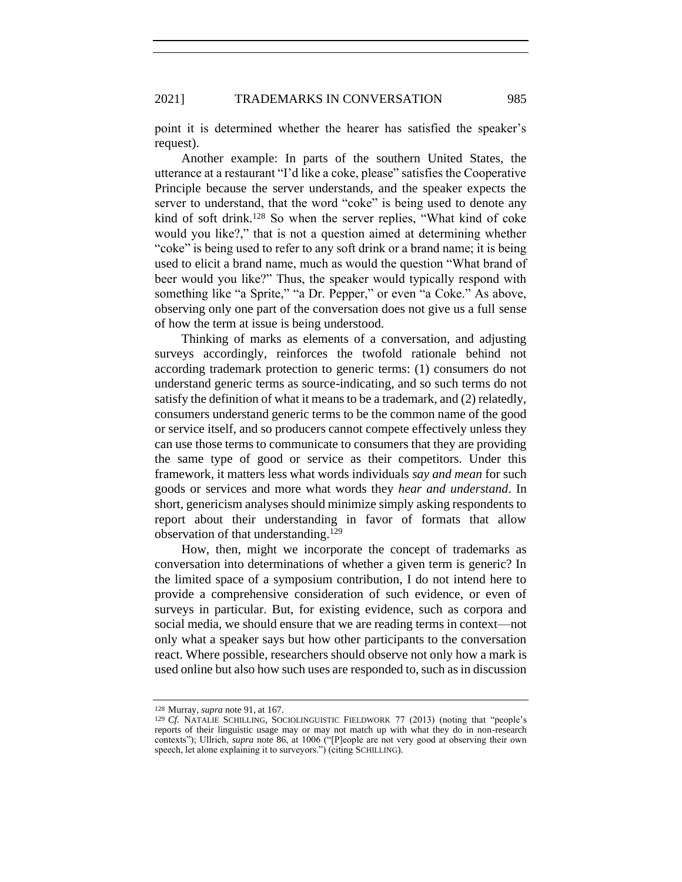point it is determined whether the hearer has satisfied the speaker's request).

Another example: In parts of the southern United States, the utterance at a restaurant "I'd like a coke, please" satisfies the Cooperative Principle because the server understands, and the speaker expects the server to understand, that the word "coke" is being used to denote any kind of soft drink.<sup>128</sup> So when the server replies, "What kind of coke would you like?," that is not a question aimed at determining whether "coke" is being used to refer to any soft drink or a brand name; it is being used to elicit a brand name, much as would the question "What brand of beer would you like?" Thus, the speaker would typically respond with something like "a Sprite," "a Dr. Pepper," or even "a Coke." As above, observing only one part of the conversation does not give us a full sense of how the term at issue is being understood.

Thinking of marks as elements of a conversation, and adjusting surveys accordingly, reinforces the twofold rationale behind not according trademark protection to generic terms: (1) consumers do not understand generic terms as source-indicating, and so such terms do not satisfy the definition of what it means to be a trademark, and (2) relatedly, consumers understand generic terms to be the common name of the good or service itself, and so producers cannot compete effectively unless they can use those terms to communicate to consumers that they are providing the same type of good or service as their competitors. Under this framework, it matters less what words individuals *say and mean* for such goods or services and more what words they *hear and understand*. In short, genericism analyses should minimize simply asking respondents to report about their understanding in favor of formats that allow observation of that understanding.<sup>129</sup>

How, then, might we incorporate the concept of trademarks as conversation into determinations of whether a given term is generic? In the limited space of a symposium contribution, I do not intend here to provide a comprehensive consideration of such evidence, or even of surveys in particular. But, for existing evidence, such as corpora and social media, we should ensure that we are reading terms in context—not only what a speaker says but how other participants to the conversation react. Where possible, researchers should observe not only how a mark is used online but also how such uses are responded to, such as in discussion

<sup>128</sup> Murray, *supra* note [91,](#page-21-0) at 167.

<sup>129</sup> *Cf.* NATALIE SCHILLING, SOCIOLINGUISTIC FIELDWORK 77 (2013) (noting that "people's reports of their linguistic usage may or may not match up with what they do in non-research contexts"); Ullrich, *supra* note [86,](#page-21-1) at 1006 ("[P]eople are not very good at observing their own speech, let alone explaining it to surveyors.") (citing SCHILLING).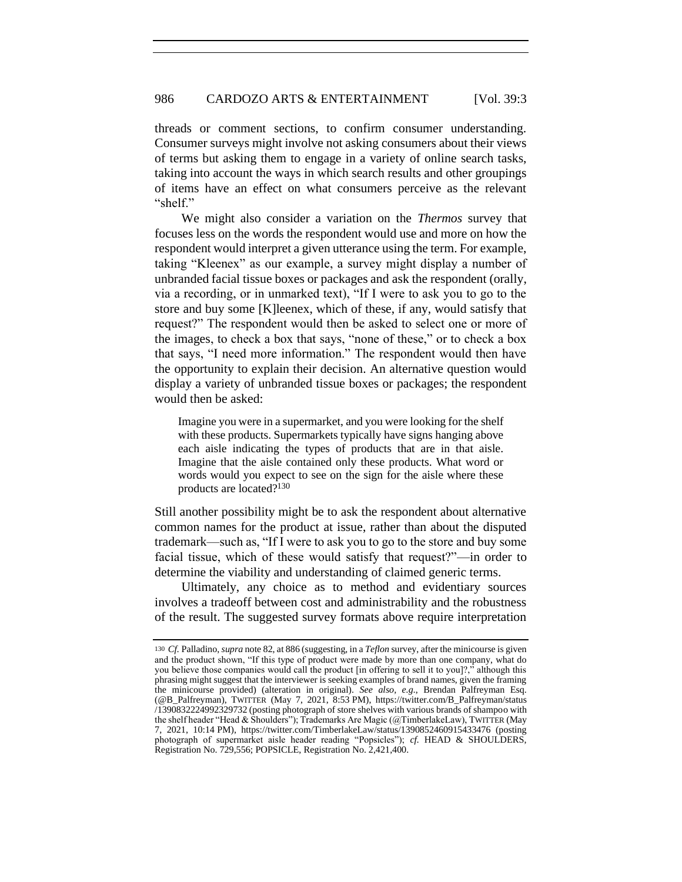threads or comment sections, to confirm consumer understanding. Consumer surveys might involve not asking consumers about their views of terms but asking them to engage in a variety of online search tasks, taking into account the ways in which search results and other groupings of items have an effect on what consumers perceive as the relevant "shelf."

We might also consider a variation on the *Thermos* survey that focuses less on the words the respondent would use and more on how the respondent would interpret a given utterance using the term. For example, taking "Kleenex" as our example, a survey might display a number of unbranded facial tissue boxes or packages and ask the respondent (orally, via a recording, or in unmarked text), "If I were to ask you to go to the store and buy some [K]leenex, which of these, if any, would satisfy that request?" The respondent would then be asked to select one or more of the images, to check a box that says, "none of these," or to check a box that says, "I need more information." The respondent would then have the opportunity to explain their decision. An alternative question would display a variety of unbranded tissue boxes or packages; the respondent would then be asked:

Imagine you were in a supermarket, and you were looking for the shelf with these products. Supermarkets typically have signs hanging above each aisle indicating the types of products that are in that aisle. Imagine that the aisle contained only these products. What word or words would you expect to see on the sign for the aisle where these products are located?<sup>130</sup>

Still another possibility might be to ask the respondent about alternative common names for the product at issue, rather than about the disputed trademark—such as, "If I were to ask you to go to the store and buy some facial tissue, which of these would satisfy that request?"—in order to determine the viability and understanding of claimed generic terms.

Ultimately, any choice as to method and evidentiary sources involves a tradeoff between cost and administrability and the robustness of the result. The suggested survey formats above require interpretation

<sup>130</sup> *Cf.* Palladino, *supra* not[e 82,](#page-19-0) at 886 (suggesting, in a *Teflon* survey, after the minicourse is given and the product shown, "If this type of product were made by more than one company, what do you believe those companies would call the product [in offering to sell it to you]?," although this phrasing might suggest that the interviewer is seeking examples of brand names, given the framing the minicourse provided) (alteration in original). *See also, e.g.*, Brendan Palfreyman Esq. (@B\_Palfreyman), TWITTER (May 7, 2021, 8:53 PM), https://twitter.com/B\_Palfreyman/status /1390832224992329732 (posting photograph of store shelves with various brands of shampoo with the shelf header "Head & Shoulders"); Trademarks Are Magic (@TimberlakeLaw), TWITTER (May 7, 2021, 10:14 PM), https://twitter.com/TimberlakeLaw/status/1390852460915433476 (posting photograph of supermarket aisle header reading "Popsicles"); *cf.* HEAD & SHOULDERS, Registration No. 729,556; POPSICLE, Registration No. 2,421,400.